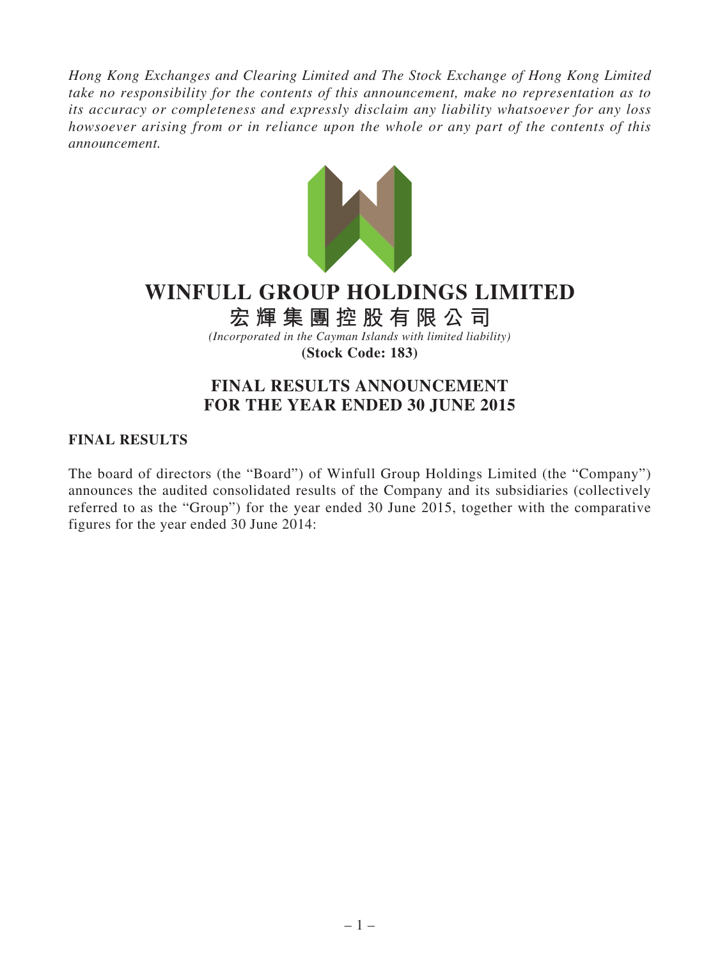*Hong Kong Exchanges and Clearing Limited and The Stock Exchange of Hong Kong Limited take no responsibility for the contents of this announcement, make no representation as to its accuracy or completeness and expressly disclaim any liability whatsoever for any loss howsoever arising from or in reliance upon the whole or any part of the contents of this announcement.*



# **WINFULL GROUP HOLDINGS LIMITED**

# **宏輝集團控股有限公司**

*(Incorporated in the Cayman Islands with limited liability)* **(Stock Code: 183)**

## **FINAL RESULTS ANNOUNCEMENT FOR THE YEAR ENDED 30 JUNE 2015**

### **FINAL RESULTS**

The board of directors (the "Board") of Winfull Group Holdings Limited (the "Company") announces the audited consolidated results of the Company and its subsidiaries (collectively referred to as the "Group") for the year ended 30 June 2015, together with the comparative figures for the year ended 30 June 2014: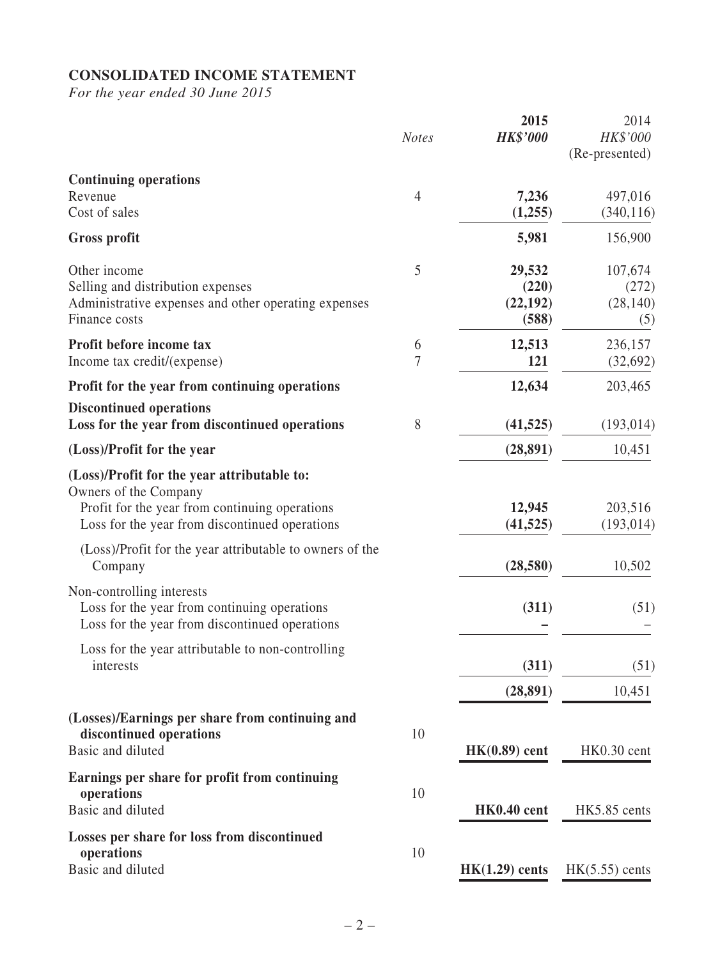## **CONSOLIDATED INCOME STATEMENT**

*For the year ended 30 June 2015*

|                                                                                                                                                                                                                                      | <b>Notes</b>        | 2015<br><b>HK\$'000</b>               | 2014<br>HK\$'000<br>(Re-presented)   |
|--------------------------------------------------------------------------------------------------------------------------------------------------------------------------------------------------------------------------------------|---------------------|---------------------------------------|--------------------------------------|
| <b>Continuing operations</b><br>Revenue<br>Cost of sales                                                                                                                                                                             | $\overline{4}$      | 7,236<br>(1,255)                      | 497,016<br>(340, 116)                |
| Gross profit                                                                                                                                                                                                                         |                     | 5,981                                 | 156,900                              |
| Other income<br>Selling and distribution expenses<br>Administrative expenses and other operating expenses<br>Finance costs                                                                                                           | 5                   | 29,532<br>(220)<br>(22, 192)<br>(588) | 107,674<br>(272)<br>(28, 140)<br>(5) |
| Profit before income tax<br>Income tax credit/(expense)                                                                                                                                                                              | 6<br>$\overline{7}$ | 12,513<br>121                         | 236,157<br>(32, 692)                 |
| Profit for the year from continuing operations                                                                                                                                                                                       |                     | 12,634                                | 203,465                              |
| <b>Discontinued operations</b><br>Loss for the year from discontinued operations                                                                                                                                                     | 8                   | (41, 525)                             | (193, 014)                           |
| (Loss)/Profit for the year                                                                                                                                                                                                           |                     | (28, 891)                             | 10,451                               |
| (Loss)/Profit for the year attributable to:<br>Owners of the Company<br>Profit for the year from continuing operations<br>Loss for the year from discontinued operations<br>(Loss)/Profit for the year attributable to owners of the |                     | 12,945<br>(41, 525)                   | 203,516<br>(193, 014)                |
| Company                                                                                                                                                                                                                              |                     | (28, 580)                             | 10,502                               |
| Non-controlling interests<br>Loss for the year from continuing operations<br>Loss for the year from discontinued operations                                                                                                          |                     | (311)                                 | (51)                                 |
| Loss for the year attributable to non-controlling<br>interests                                                                                                                                                                       |                     | (311)                                 | (51)                                 |
|                                                                                                                                                                                                                                      |                     | (28, 891)                             | 10,451                               |
| (Losses)/Earnings per share from continuing and<br>discontinued operations<br>Basic and diluted                                                                                                                                      | 10                  | $HK(0.89)$ cent                       | HK0.30 cent                          |
| Earnings per share for profit from continuing<br>operations<br>Basic and diluted                                                                                                                                                     | 10                  | HK0.40 cent                           | HK5.85 cents                         |
| Losses per share for loss from discontinued<br>operations<br>Basic and diluted                                                                                                                                                       | 10                  | $HK(1.29)$ cents                      | $HK(5.55)$ cents                     |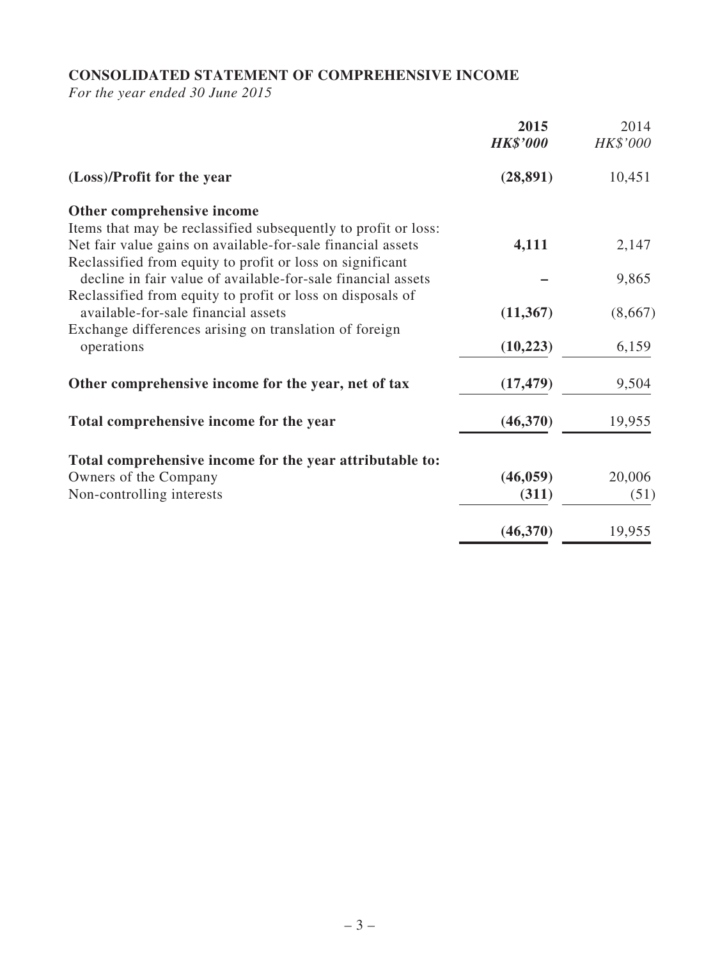## **CONSOLIDATED STATEMENT OF COMPREHENSIVE INCOME**

*For the year ended 30 June 2015*

|                                                                | 2015<br><b>HK\$'000</b> | 2014<br>HK\$'000 |
|----------------------------------------------------------------|-------------------------|------------------|
| (Loss)/Profit for the year                                     | (28, 891)               | 10,451           |
| Other comprehensive income                                     |                         |                  |
| Items that may be reclassified subsequently to profit or loss: |                         |                  |
| Net fair value gains on available-for-sale financial assets    | 4,111                   | 2,147            |
| Reclassified from equity to profit or loss on significant      |                         |                  |
| decline in fair value of available-for-sale financial assets   |                         | 9,865            |
| Reclassified from equity to profit or loss on disposals of     |                         |                  |
| available-for-sale financial assets                            | (11, 367)               | (8,667)          |
| Exchange differences arising on translation of foreign         |                         |                  |
| operations                                                     | (10,223)                | 6,159            |
|                                                                |                         |                  |
| Other comprehensive income for the year, net of tax            | (17, 479)               | 9,504            |
| Total comprehensive income for the year                        | (46,370)                | 19,955           |
|                                                                |                         |                  |
| Total comprehensive income for the year attributable to:       |                         |                  |
| Owners of the Company                                          | (46, 059)               | 20,006           |
| Non-controlling interests                                      | (311)                   | (51)             |
|                                                                |                         |                  |
|                                                                | (46,370)                | 19,955           |
|                                                                |                         |                  |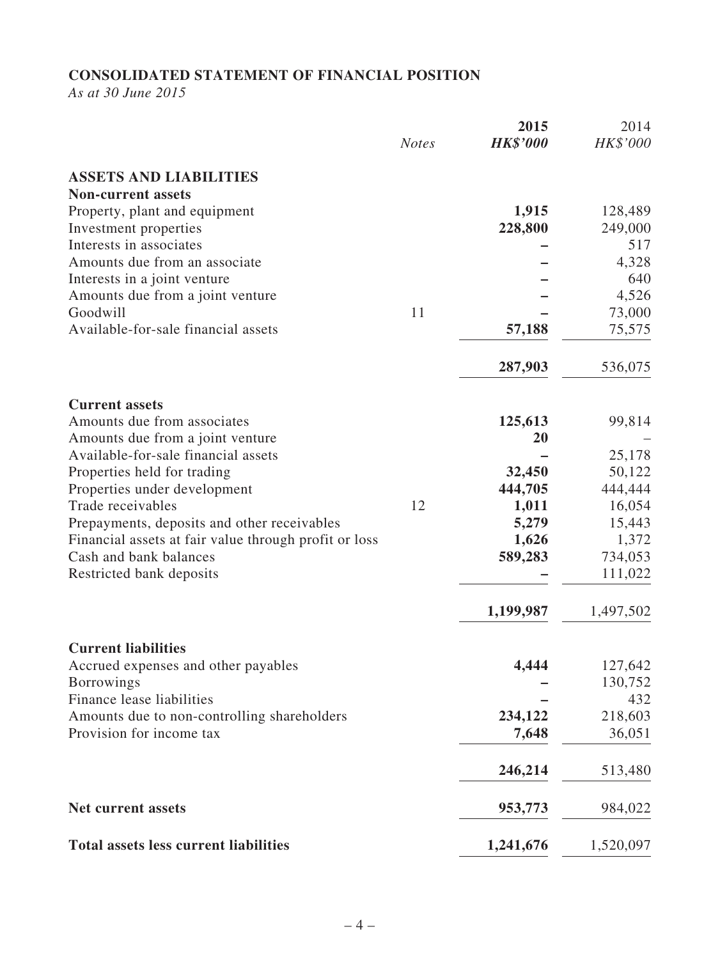## **CONSOLIDATED STATEMENT OF FINANCIAL POSITION**

*As at 30 June 2015*

|                                                       | <b>Notes</b> | 2015<br><b>HK\$'000</b> | 2014<br>HK\$'000 |
|-------------------------------------------------------|--------------|-------------------------|------------------|
| <b>ASSETS AND LIABILITIES</b>                         |              |                         |                  |
| <b>Non-current assets</b>                             |              |                         |                  |
| Property, plant and equipment                         |              | 1,915                   | 128,489          |
| Investment properties                                 |              | 228,800                 | 249,000          |
| Interests in associates                               |              |                         | 517              |
| Amounts due from an associate                         |              |                         | 4,328            |
| Interests in a joint venture                          |              |                         | 640              |
| Amounts due from a joint venture                      |              |                         | 4,526            |
| Goodwill                                              | 11           |                         | 73,000           |
| Available-for-sale financial assets                   |              | 57,188                  | 75,575           |
|                                                       |              |                         |                  |
|                                                       |              | 287,903                 | 536,075          |
| <b>Current assets</b>                                 |              |                         |                  |
| Amounts due from associates                           |              | 125,613                 | 99,814           |
| Amounts due from a joint venture                      |              | 20                      |                  |
| Available-for-sale financial assets                   |              |                         | 25,178           |
| Properties held for trading                           |              | 32,450                  | 50,122           |
| Properties under development                          |              | 444,705                 | 444,444          |
| Trade receivables                                     | 12           | 1,011                   | 16,054           |
| Prepayments, deposits and other receivables           |              | 5,279                   | 15,443           |
| Financial assets at fair value through profit or loss |              | 1,626                   | 1,372            |
| Cash and bank balances                                |              | 589,283                 | 734,053          |
| Restricted bank deposits                              |              |                         | 111,022          |
|                                                       |              | 1,199,987               | 1,497,502        |
| <b>Current liabilities</b>                            |              |                         |                  |
| Accrued expenses and other payables                   |              | 4,444                   | 127,642          |
| <b>Borrowings</b>                                     |              |                         | 130,752          |
| Finance lease liabilities                             |              |                         | 432              |
| Amounts due to non-controlling shareholders           |              | 234,122                 | 218,603          |
| Provision for income tax                              |              | 7,648                   | 36,051           |
|                                                       |              | 246,214                 | 513,480          |
| <b>Net current assets</b>                             |              | 953,773                 | 984,022          |
| <b>Total assets less current liabilities</b>          |              | 1,241,676               | 1,520,097        |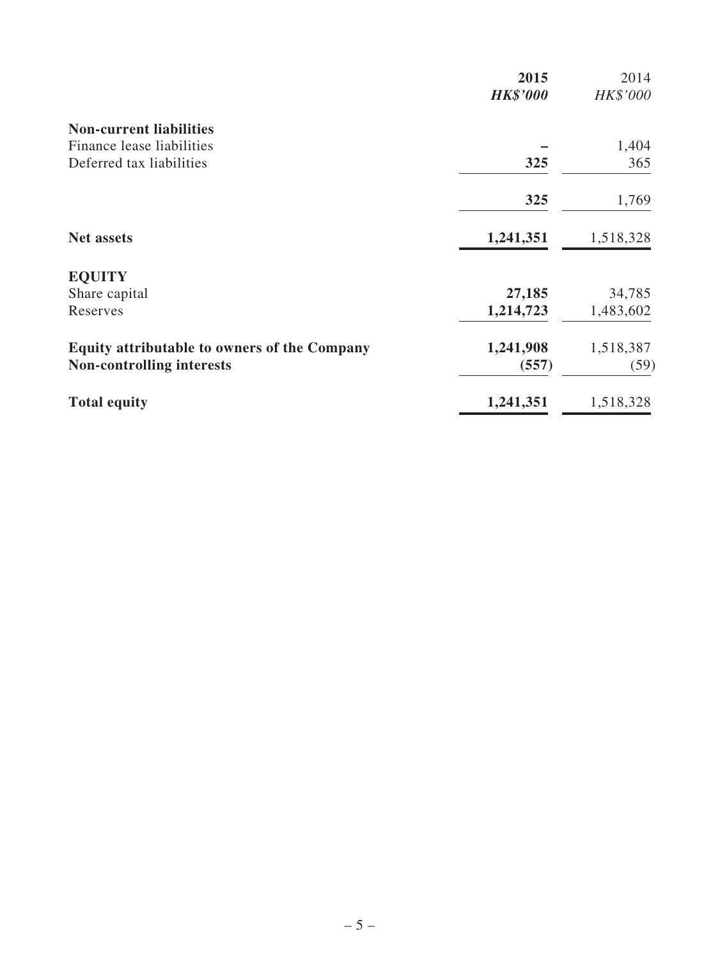|                                                     | 2015<br><b>HK\$'000</b> | 2014<br>HK\$'000 |
|-----------------------------------------------------|-------------------------|------------------|
| <b>Non-current liabilities</b>                      |                         |                  |
| Finance lease liabilities                           |                         | 1,404            |
| Deferred tax liabilities                            | 325                     | 365              |
|                                                     | 325                     | 1,769            |
| <b>Net assets</b>                                   | 1,241,351               | 1,518,328        |
| <b>EQUITY</b>                                       |                         |                  |
| Share capital                                       | 27,185                  | 34,785           |
| Reserves                                            | 1,214,723               | 1,483,602        |
| <b>Equity attributable to owners of the Company</b> | 1,241,908               | 1,518,387        |
| <b>Non-controlling interests</b>                    | (557)                   | (59)             |
| <b>Total equity</b>                                 | 1,241,351               | 1,518,328        |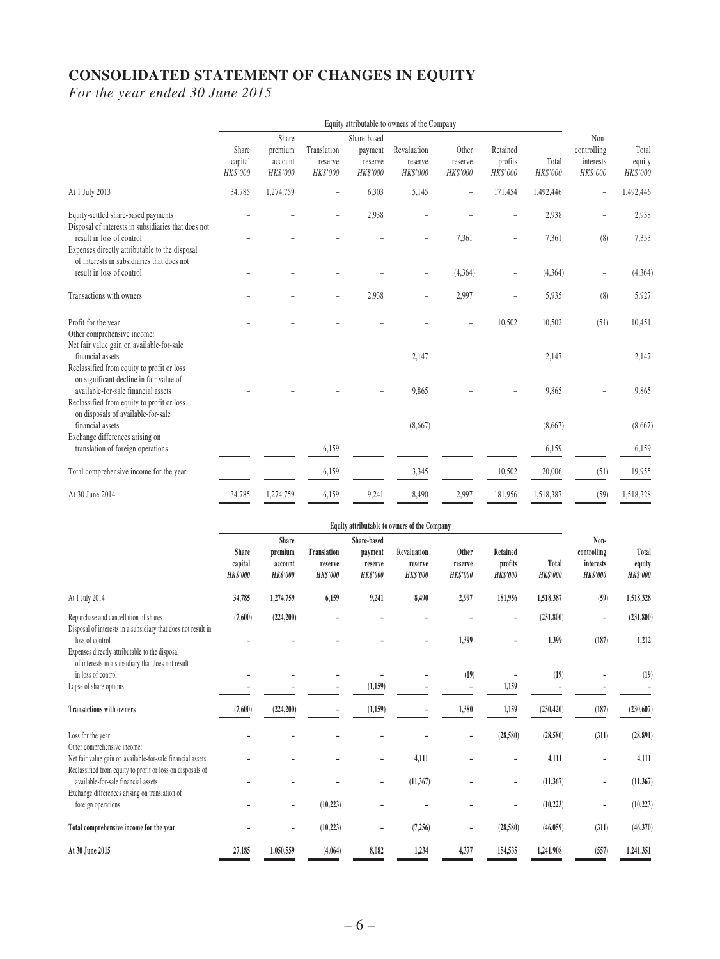## **CONSOLIDATED STATEMENT OF CHANGES IN EQUITY**

*For the year ended 30 June 2015*

|                                                                                                                              | Equity attributable to owners of the Company |                     |                            |                        |                     |                     |                     |                   |                       |                           |
|------------------------------------------------------------------------------------------------------------------------------|----------------------------------------------|---------------------|----------------------------|------------------------|---------------------|---------------------|---------------------|-------------------|-----------------------|---------------------------|
|                                                                                                                              | Share                                        | Share<br>premium    | Translation                | Share-based<br>payment | Revaluation         | Other               | Retained            |                   | Non-<br>controlling   | Total                     |
|                                                                                                                              | capital<br>HK\$'000                          | account<br>HK\$'000 | reserve<br><b>HK\$'000</b> | reserve<br>HK\$'000    | reserve<br>HK\$'000 | reserve<br>HK\$'000 | profits<br>HK\$'000 | Total<br>HK\$'000 | interests<br>HK\$'000 | equity<br><b>HK\$'000</b> |
| At 1 July 2013                                                                                                               | 34,785                                       | 1,274,759           | $\overline{\phantom{a}}$   | 6,303                  | 5,145               |                     | 171,454             | 1,492,446         | $\overline{a}$        | 1,492,446                 |
| Equity-settled share-based payments<br>Disposal of interests in subsidiaries that does not                                   |                                              |                     |                            | 2,938                  |                     |                     |                     | 2,938             |                       | 2,938                     |
| result in loss of control<br>Expenses directly attributable to the disposal<br>of interests in subsidiaries that does not    |                                              |                     |                            |                        |                     | 7,361               |                     | 7,361             | (8)                   | 7,353                     |
| result in loss of control                                                                                                    |                                              |                     |                            |                        |                     | (4,364)             |                     | (4,364)           |                       | (4,364)                   |
| Transactions with owners                                                                                                     |                                              |                     | $\overline{\phantom{a}}$   | 2,938                  |                     | 2,997               |                     | 5,935             | (8)                   | 5,927                     |
| Profit for the year<br>Other comprehensive income:                                                                           |                                              |                     |                            |                        |                     |                     | 10,502              | 10,502            | (51)                  | 10,451                    |
| Net fair value gain on available-for-sale<br>financial assets                                                                |                                              |                     |                            |                        | 2,147               |                     |                     | 2,147             |                       | 2,147                     |
| Reclassified from equity to profit or loss<br>on significant decline in fair value of<br>available-for-sale financial assets |                                              |                     |                            |                        | 9,865               |                     |                     | 9,865             |                       | 9,865                     |
| Reclassified from equity to profit or loss<br>on disposals of available-for-sale                                             |                                              |                     |                            |                        |                     |                     |                     |                   |                       |                           |
| financial assets<br>Exchange differences arising on                                                                          |                                              |                     |                            |                        | (8,667)             |                     |                     | (8,667)           |                       | (8,667)                   |
| translation of foreign operations                                                                                            |                                              |                     | 6,159                      |                        |                     |                     |                     | 6,159             |                       | 6,159                     |
| Total comprehensive income for the year                                                                                      |                                              |                     | 6,159                      | L,                     | 3,345               | $\overline{a}$      | 10,502              | 20,006            | (51)                  | 19,955                    |
| At 30 June 2014                                                                                                              | 34,785                                       | 1,274,759           | 6,159                      | 9,241                  | 8,490               | 2,997               | 181,956             | 1,518,387         | (59)                  | 1,518,328                 |

|                                                                                                                          | Equity attributable to owners of the Company |                                                |                                                  |                                                      |                                           |                                     |                                               |                          |                                                     |                                    |
|--------------------------------------------------------------------------------------------------------------------------|----------------------------------------------|------------------------------------------------|--------------------------------------------------|------------------------------------------------------|-------------------------------------------|-------------------------------------|-----------------------------------------------|--------------------------|-----------------------------------------------------|------------------------------------|
|                                                                                                                          | <b>Share</b><br>capital<br><b>HK\$'000</b>   | Share<br>premium<br>account<br><b>HK\$'000</b> | <b>Translation</b><br>reserve<br><b>HK\$'000</b> | Share-based<br>payment<br>reserve<br><b>HK\$'000</b> | Revaluation<br>reserve<br><b>HK\$'000</b> | Other<br>reserve<br><b>HK\$'000</b> | <b>Retained</b><br>profits<br><b>HK\$'000</b> | Total<br><b>HK\$'000</b> | Non-<br>controlling<br>interests<br><b>HK\$'000</b> | Total<br>equity<br><b>HK\$'000</b> |
| At 1 July 2014                                                                                                           | 34,785                                       | 1,274,759                                      | 6,159                                            | 9,241                                                | 8,490                                     | 2,997                               | 181,956                                       | 1,518,387                | (59)                                                | 1,518,328                          |
| Repurchase and cancellation of shares<br>Disposal of interests in a subsidiary that does not result in                   | (7,600)                                      | (224, 200)                                     |                                                  |                                                      |                                           |                                     |                                               | (231,800)                | $\overline{\phantom{a}}$                            | (231,800)                          |
| loss of control<br>Expenses directly attributable to the disposal<br>of interests in a subsidiary that does not result   |                                              |                                                |                                                  |                                                      |                                           | 1,399                               |                                               | 1,399                    | (187)                                               | 1,212                              |
| in loss of control                                                                                                       |                                              |                                                |                                                  |                                                      |                                           | (19)                                |                                               | (19)                     |                                                     | (19)                               |
| Lapse of share options                                                                                                   |                                              |                                                |                                                  | (1,159)                                              |                                           | $\overline{a}$                      | 1,159                                         |                          |                                                     |                                    |
| <b>Transactions with owners</b>                                                                                          | (7,600)                                      | (224, 200)                                     |                                                  | (1,159)                                              |                                           | 1,380                               | 1,159                                         | (230, 420)               | (187)                                               | (230, 607)                         |
| Loss for the year<br>Other comprehensive income:                                                                         |                                              |                                                |                                                  |                                                      |                                           |                                     | (28,580)                                      | (28,580)                 | (311)                                               | (28, 891)                          |
| Net fair value gain on available-for-sale financial assets<br>Reclassified from equity to profit or loss on disposals of |                                              |                                                |                                                  |                                                      | 4,111                                     |                                     |                                               | 4,111                    |                                                     | 4,111                              |
| available-for-sale financial assets<br>Exchange differences arising on translation of                                    |                                              |                                                |                                                  | -                                                    | (11, 367)                                 |                                     |                                               | (11, 367)                | ٠                                                   | (11, 367)                          |
| foreign operations                                                                                                       |                                              |                                                | (10, 223)                                        |                                                      |                                           |                                     |                                               | (10,223)                 | ٠                                                   | (10,223)                           |
| Total comprehensive income for the year                                                                                  |                                              |                                                | (10, 223)                                        |                                                      | (7, 256)                                  |                                     | (28, 580)                                     | (46, 059)                | (311)                                               | (46,370)                           |
| At 30 June 2015                                                                                                          | 27,185                                       | 1,050,559                                      | (4,064)                                          | 8,082                                                | 1,234                                     | 4,377                               | 154,535                                       | 1,241,908                | (557)                                               | 1,241,351                          |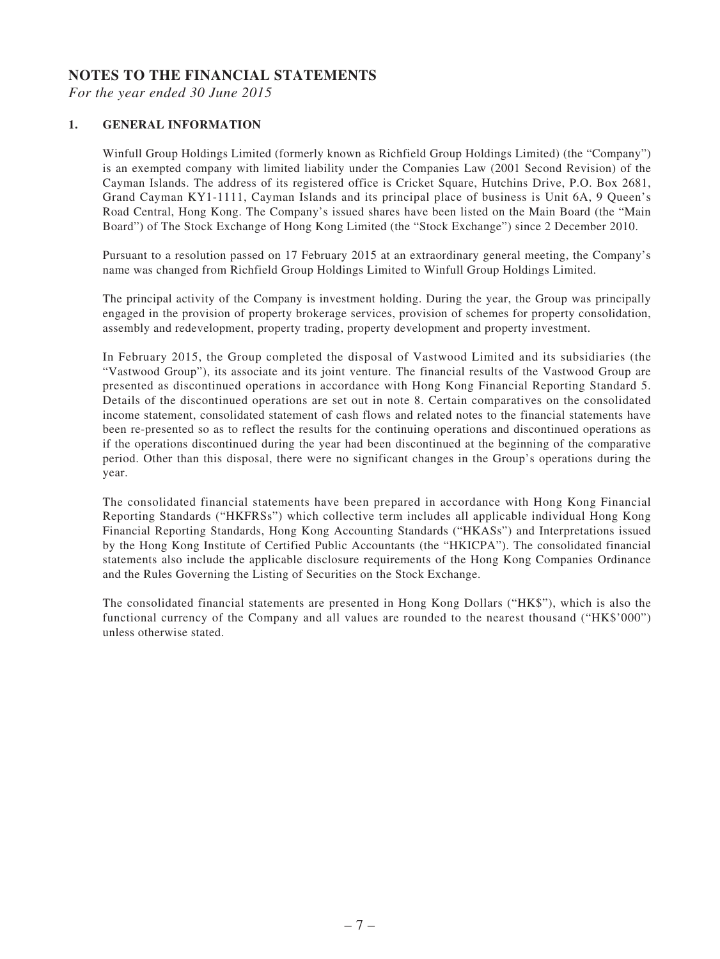#### **NOTES TO THE FINANCIAL STATEMENTS**

*For the year ended 30 June 2015*

#### **1. GENERAL INFORMATION**

Winfull Group Holdings Limited (formerly known as Richfield Group Holdings Limited) (the "Company") is an exempted company with limited liability under the Companies Law (2001 Second Revision) of the Cayman Islands. The address of its registered office is Cricket Square, Hutchins Drive, P.O. Box 2681, Grand Cayman KY1-1111, Cayman Islands and its principal place of business is Unit 6A, 9 Queen's Road Central, Hong Kong. The Company's issued shares have been listed on the Main Board (the "Main Board") of The Stock Exchange of Hong Kong Limited (the "Stock Exchange") since 2 December 2010.

Pursuant to a resolution passed on 17 February 2015 at an extraordinary general meeting, the Company's name was changed from Richfield Group Holdings Limited to Winfull Group Holdings Limited.

The principal activity of the Company is investment holding. During the year, the Group was principally engaged in the provision of property brokerage services, provision of schemes for property consolidation, assembly and redevelopment, property trading, property development and property investment.

In February 2015, the Group completed the disposal of Vastwood Limited and its subsidiaries (the "Vastwood Group"), its associate and its joint venture. The financial results of the Vastwood Group are presented as discontinued operations in accordance with Hong Kong Financial Reporting Standard 5. Details of the discontinued operations are set out in note 8. Certain comparatives on the consolidated income statement, consolidated statement of cash flows and related notes to the financial statements have been re-presented so as to reflect the results for the continuing operations and discontinued operations as if the operations discontinued during the year had been discontinued at the beginning of the comparative period. Other than this disposal, there were no significant changes in the Group's operations during the year.

The consolidated financial statements have been prepared in accordance with Hong Kong Financial Reporting Standards ("HKFRSs") which collective term includes all applicable individual Hong Kong Financial Reporting Standards, Hong Kong Accounting Standards ("HKASs") and Interpretations issued by the Hong Kong Institute of Certified Public Accountants (the "HKICPA"). The consolidated financial statements also include the applicable disclosure requirements of the Hong Kong Companies Ordinance and the Rules Governing the Listing of Securities on the Stock Exchange.

The consolidated financial statements are presented in Hong Kong Dollars ("HK\$"), which is also the functional currency of the Company and all values are rounded to the nearest thousand ("HK\$'000") unless otherwise stated.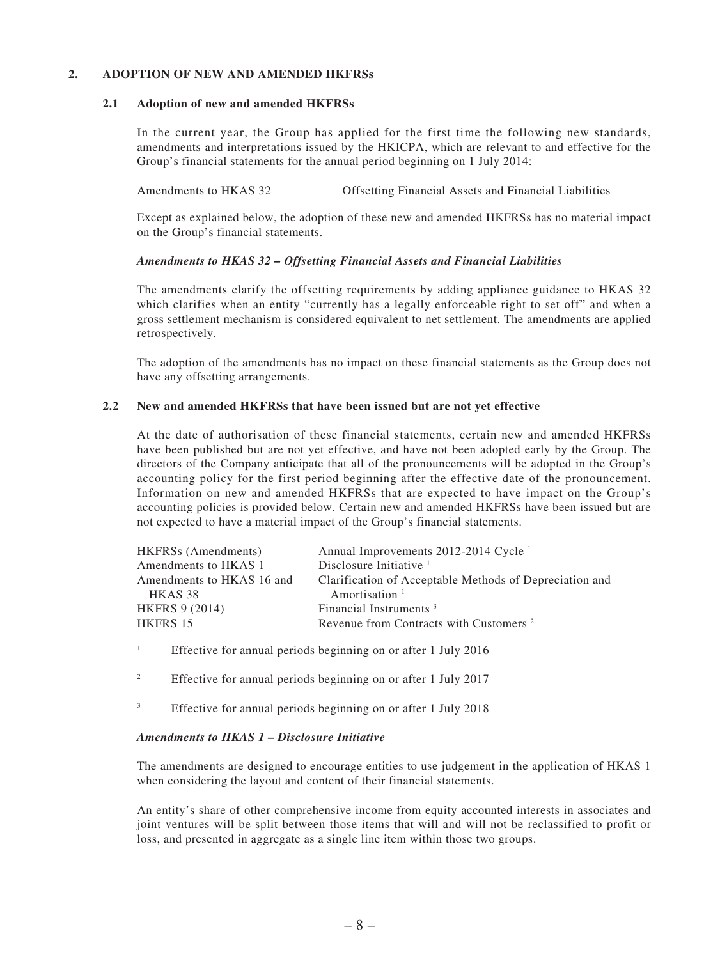#### **2. ADOPTION OF NEW AND AMENDED HKFRSs**

#### **2.1 Adoption of new and amended HKFRSs**

In the current year, the Group has applied for the first time the following new standards, amendments and interpretations issued by the HKICPA, which are relevant to and effective for the Group's financial statements for the annual period beginning on 1 July 2014:

Amendments to HKAS 32 Offsetting Financial Assets and Financial Liabilities

Except as explained below, the adoption of these new and amended HKFRSs has no material impact on the Group's financial statements.

#### *Amendments to HKAS 32 – Offsetting Financial Assets and Financial Liabilities*

The amendments clarify the offsetting requirements by adding appliance guidance to HKAS 32 which clarifies when an entity "currently has a legally enforceable right to set off" and when a gross settlement mechanism is considered equivalent to net settlement. The amendments are applied retrospectively.

The adoption of the amendments has no impact on these financial statements as the Group does not have any offsetting arrangements.

#### **2.2 New and amended HKFRSs that have been issued but are not yet effective**

At the date of authorisation of these financial statements, certain new and amended HKFRSs have been published but are not yet effective, and have not been adopted early by the Group. The directors of the Company anticipate that all of the pronouncements will be adopted in the Group's accounting policy for the first period beginning after the effective date of the pronouncement. Information on new and amended HKFRSs that are expected to have impact on the Group's accounting policies is provided below. Certain new and amended HKFRSs have been issued but are not expected to have a material impact of the Group's financial statements.

| <b>HKFRSs</b> (Amendments) | Annual Improvements 2012-2014 Cycle <sup>1</sup>        |
|----------------------------|---------------------------------------------------------|
| Amendments to HKAS 1       | Disclosure Initiative $1$                               |
| Amendments to HKAS 16 and  | Clarification of Acceptable Methods of Depreciation and |
| HKAS 38                    | Amortisation <sup>1</sup>                               |
| <b>HKFRS 9 (2014)</b>      | Financial Instruments <sup>3</sup>                      |
| HKFRS 15                   | Revenue from Contracts with Customers <sup>2</sup>      |
|                            |                                                         |

1 Effective for annual periods beginning on or after 1 July 2016

- 2 Effective for annual periods beginning on or after 1 July 2017
- 3 Effective for annual periods beginning on or after 1 July 2018

#### *Amendments to HKAS 1 – Disclosure Initiative*

The amendments are designed to encourage entities to use judgement in the application of HKAS 1 when considering the layout and content of their financial statements.

An entity's share of other comprehensive income from equity accounted interests in associates and joint ventures will be split between those items that will and will not be reclassified to profit or loss, and presented in aggregate as a single line item within those two groups.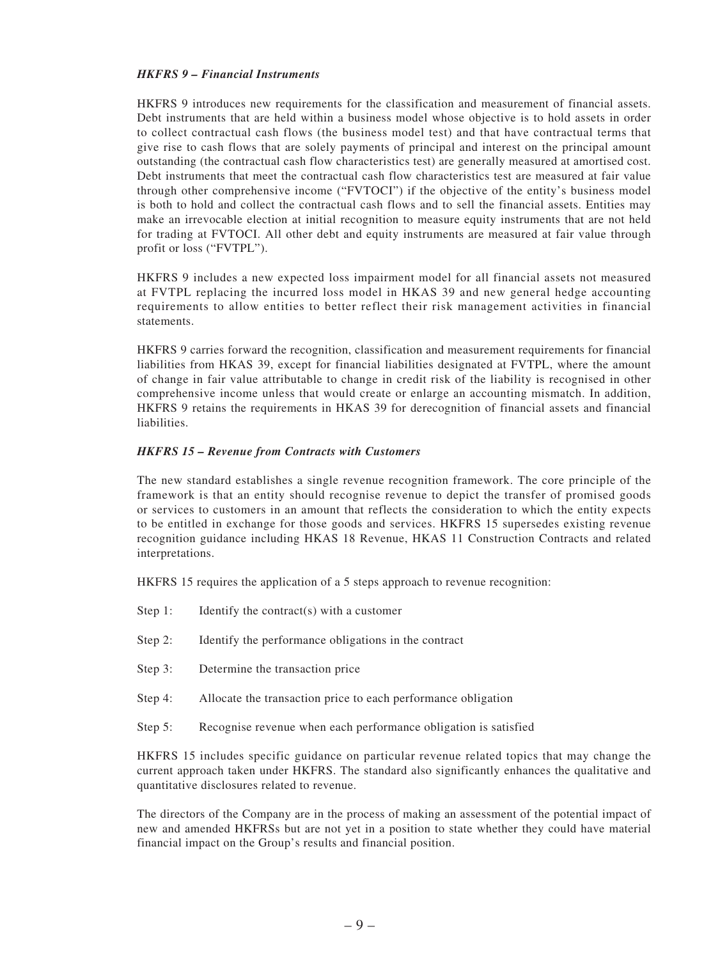#### *HKFRS 9 – Financial Instruments*

HKFRS 9 introduces new requirements for the classification and measurement of financial assets. Debt instruments that are held within a business model whose objective is to hold assets in order to collect contractual cash flows (the business model test) and that have contractual terms that give rise to cash flows that are solely payments of principal and interest on the principal amount outstanding (the contractual cash flow characteristics test) are generally measured at amortised cost. Debt instruments that meet the contractual cash flow characteristics test are measured at fair value through other comprehensive income ("FVTOCI") if the objective of the entity's business model is both to hold and collect the contractual cash flows and to sell the financial assets. Entities may make an irrevocable election at initial recognition to measure equity instruments that are not held for trading at FVTOCI. All other debt and equity instruments are measured at fair value through profit or loss ("FVTPL").

HKFRS 9 includes a new expected loss impairment model for all financial assets not measured at FVTPL replacing the incurred loss model in HKAS 39 and new general hedge accounting requirements to allow entities to better reflect their risk management activities in financial statements.

HKFRS 9 carries forward the recognition, classification and measurement requirements for financial liabilities from HKAS 39, except for financial liabilities designated at FVTPL, where the amount of change in fair value attributable to change in credit risk of the liability is recognised in other comprehensive income unless that would create or enlarge an accounting mismatch. In addition, HKFRS 9 retains the requirements in HKAS 39 for derecognition of financial assets and financial liabilities.

#### *HKFRS 15 – Revenue from Contracts with Customers*

The new standard establishes a single revenue recognition framework. The core principle of the framework is that an entity should recognise revenue to depict the transfer of promised goods or services to customers in an amount that reflects the consideration to which the entity expects to be entitled in exchange for those goods and services. HKFRS 15 supersedes existing revenue recognition guidance including HKAS 18 Revenue, HKAS 11 Construction Contracts and related interpretations.

HKFRS 15 requires the application of a 5 steps approach to revenue recognition:

- Step 1: Identify the contract(s) with a customer
- Step 2: Identify the performance obligations in the contract
- Step 3: Determine the transaction price
- Step 4: Allocate the transaction price to each performance obligation
- Step 5: Recognise revenue when each performance obligation is satisfied

HKFRS 15 includes specific guidance on particular revenue related topics that may change the current approach taken under HKFRS. The standard also significantly enhances the qualitative and quantitative disclosures related to revenue.

The directors of the Company are in the process of making an assessment of the potential impact of new and amended HKFRSs but are not yet in a position to state whether they could have material financial impact on the Group's results and financial position.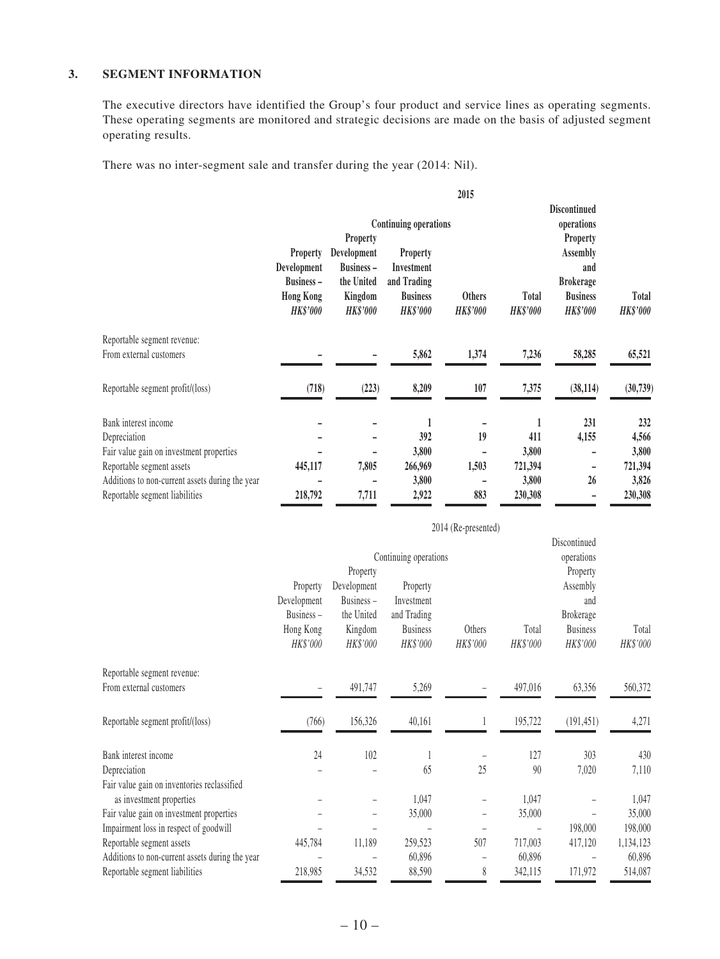#### **3. SEGMENT INFORMATION**

The executive directors have identified the Group's four product and service lines as operating segments. These operating segments are monitored and strategic decisions are made on the basis of adjusted segment operating results.

There was no inter-segment sale and transfer during the year (2014: Nil).

|                                                 |                   |                   |                              | 2015            |                 |                          |                 |
|-------------------------------------------------|-------------------|-------------------|------------------------------|-----------------|-----------------|--------------------------|-----------------|
|                                                 |                   |                   |                              |                 |                 | <b>Discontinued</b>      |                 |
|                                                 |                   |                   | <b>Continuing operations</b> |                 |                 | operations               |                 |
|                                                 |                   | Property          |                              |                 |                 | Property                 |                 |
|                                                 | Property          | Development       | <b>Property</b>              |                 |                 | <b>Assembly</b>          |                 |
|                                                 | Development       | <b>Business –</b> | Investment                   |                 |                 | and                      |                 |
|                                                 | <b>Business -</b> | the United        | and Trading                  |                 |                 | <b>Brokerage</b>         |                 |
|                                                 | <b>Hong Kong</b>  | Kingdom           | <b>Business</b>              | <b>Others</b>   | <b>Total</b>    | <b>Business</b>          | Total           |
|                                                 | <b>HK\$'000</b>   | <b>HK\$'000</b>   | <b>HK\$'000</b>              | <b>HK\$'000</b> | <b>HK\$'000</b> | <b>HK\$'000</b>          | <b>HK\$'000</b> |
| Reportable segment revenue:                     |                   |                   |                              |                 |                 |                          |                 |
| From external customers                         |                   |                   | 5,862                        | 1,374           | 7,236           | 58,285                   | 65,521          |
|                                                 |                   |                   |                              |                 |                 |                          |                 |
| Reportable segment profit/(loss)                | (718)             | (223)             | 8,209                        | 107             | 7,375           | (38, 114)                | (30, 739)       |
|                                                 |                   |                   |                              |                 |                 |                          |                 |
| Bank interest income                            |                   |                   | 1                            |                 | 1               | 231                      | 232             |
| Depreciation                                    |                   |                   | 392                          | 19              | 411             | 4,155                    | 4,566           |
| Fair value gain on investment properties        |                   |                   | 3,800                        |                 | 3,800           | $\overline{\phantom{a}}$ | 3,800           |
| Reportable segment assets                       | 445,117           | 7,805             | 266,969                      | 1,503           | 721,394         | $\overline{\phantom{a}}$ | 721,394         |
| Additions to non-current assets during the year |                   |                   | 3,800                        |                 | 3,800           | 26                       | 3,826           |
| Reportable segment liabilities                  | 218,792           | 7,711             | 2,922                        | 883             | 230,308         |                          | 230,308         |

|                                                        |                                                               |                                                                           |                                                                      | 2014 (Re-presented) |                   |                                                                                |                   |  |
|--------------------------------------------------------|---------------------------------------------------------------|---------------------------------------------------------------------------|----------------------------------------------------------------------|---------------------|-------------------|--------------------------------------------------------------------------------|-------------------|--|
|                                                        | Continuing operations                                         |                                                                           |                                                                      |                     |                   | Discontinued<br>operations                                                     |                   |  |
|                                                        | Property<br>Development<br>Business-<br>Hong Kong<br>HK\$'000 | Property<br>Development<br>Business-<br>the United<br>Kingdom<br>HK\$'000 | Property<br>Investment<br>and Trading<br><b>Business</b><br>HK\$'000 | Others<br>HK\$'000  | Total<br>HK\$'000 | Property<br>Assembly<br>and<br><b>Brokerage</b><br><b>Business</b><br>HK\$'000 | Total<br>HK\$'000 |  |
| Reportable segment revenue:<br>From external customers |                                                               | 491,747                                                                   | 5,269                                                                |                     | 497,016           | 63,356                                                                         | 560,372           |  |
| Reportable segment profit/(loss)                       | (766)                                                         | 156,326                                                                   | 40,161                                                               |                     | 195,722           | (191, 451)                                                                     | 4,271             |  |
| Bank interest income                                   | 24                                                            | 102                                                                       | $\mathbf{1}$                                                         |                     | 127               | 303                                                                            | 430               |  |
| Depreciation                                           |                                                               |                                                                           | 65                                                                   | 25                  | 90                | 7,020                                                                          | 7,110             |  |
| Fair value gain on inventories reclassified            |                                                               |                                                                           |                                                                      |                     |                   |                                                                                |                   |  |
| as investment properties                               |                                                               |                                                                           | 1,047                                                                |                     | 1,047             |                                                                                | 1,047             |  |
| Fair value gain on investment properties               |                                                               |                                                                           | 35,000                                                               |                     | 35,000            |                                                                                | 35,000            |  |
| Impairment loss in respect of goodwill                 |                                                               |                                                                           |                                                                      |                     |                   | 198,000                                                                        | 198,000           |  |
| Reportable segment assets                              | 445,784                                                       | 11,189                                                                    | 259,523                                                              | 507                 | 717,003           | 417,120                                                                        | 1,134,123         |  |
| Additions to non-current assets during the year        |                                                               |                                                                           | 60,896                                                               |                     | 60,896            |                                                                                | 60,896            |  |
| Reportable segment liabilities                         | 218,985                                                       | 34,532                                                                    | 88,590                                                               | 8                   | 342,115           | 171,972                                                                        | 514,087           |  |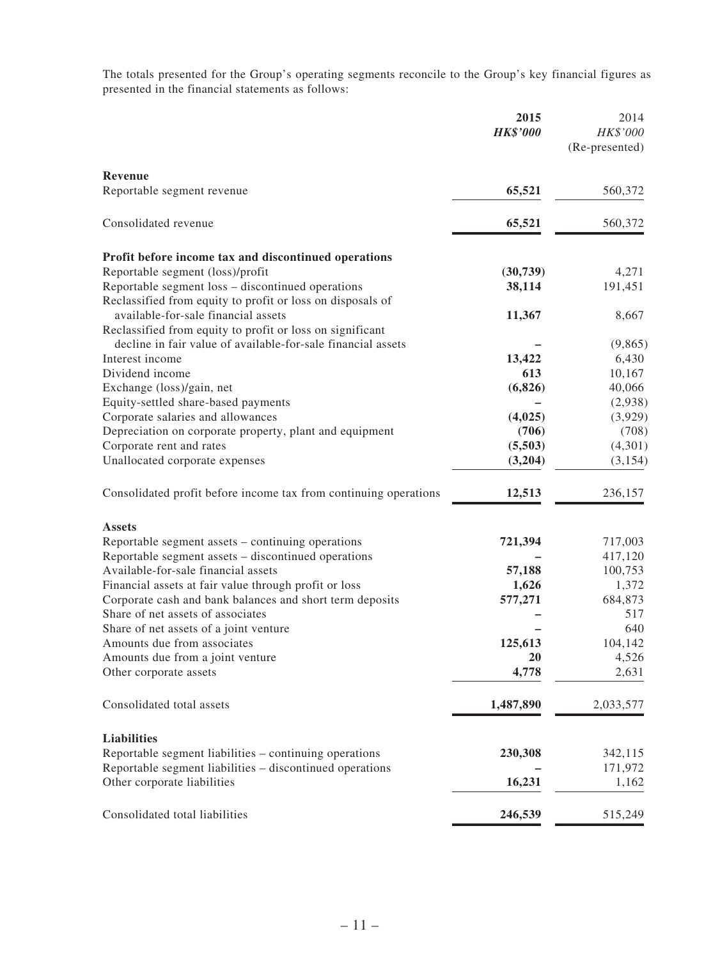The totals presented for the Group's operating segments reconcile to the Group's key financial figures as presented in the financial statements as follows:

|                                                                  | 2015<br><b>HK\$'000</b> | 2014<br>HK\$'000<br>(Re-presented) |
|------------------------------------------------------------------|-------------------------|------------------------------------|
| Revenue<br>Reportable segment revenue                            | 65,521                  | 560,372                            |
| Consolidated revenue                                             | 65,521                  | 560,372                            |
|                                                                  |                         |                                    |
| Profit before income tax and discontinued operations             |                         |                                    |
| Reportable segment (loss)/profit                                 | (30, 739)               | 4,271                              |
| Reportable segment loss - discontinued operations                | 38,114                  | 191,451                            |
| Reclassified from equity to profit or loss on disposals of       |                         |                                    |
| available-for-sale financial assets                              | 11,367                  | 8,667                              |
| Reclassified from equity to profit or loss on significant        |                         |                                    |
| decline in fair value of available-for-sale financial assets     |                         | (9,865)                            |
| Interest income                                                  | 13,422                  | 6,430                              |
| Dividend income                                                  | 613                     | 10,167                             |
| Exchange (loss)/gain, net                                        | (6,826)                 | 40,066                             |
| Equity-settled share-based payments                              |                         | (2,938)                            |
| Corporate salaries and allowances                                | (4,025)                 | (3,929)                            |
| Depreciation on corporate property, plant and equipment          | (706)                   | (708)                              |
| Corporate rent and rates                                         | (5,503)                 | (4,301)                            |
| Unallocated corporate expenses                                   | (3,204)                 | (3, 154)                           |
| Consolidated profit before income tax from continuing operations | 12,513                  | 236,157                            |
| <b>Assets</b>                                                    |                         |                                    |
| Reportable segment assets - continuing operations                | 721,394                 | 717,003                            |
| Reportable segment assets - discontinued operations              |                         | 417,120                            |
| Available-for-sale financial assets                              | 57,188                  | 100,753                            |
| Financial assets at fair value through profit or loss            | 1,626                   | 1,372                              |
| Corporate cash and bank balances and short term deposits         | 577,271                 | 684,873                            |
| Share of net assets of associates                                |                         | 517                                |
| Share of net assets of a joint venture                           |                         | 640                                |
| Amounts due from associates                                      | 125,613                 | 104,142                            |
| Amounts due from a joint venture                                 | 20                      | 4,526                              |
| Other corporate assets                                           | 4,778                   | 2,631                              |
| Consolidated total assets                                        | 1,487,890               | 2,033,577                          |
| <b>Liabilities</b>                                               |                         |                                    |
| Reportable segment liabilities – continuing operations           | 230,308                 | 342,115                            |
| Reportable segment liabilities – discontinued operations         |                         | 171,972                            |
| Other corporate liabilities                                      | 16,231                  | 1,162                              |
| Consolidated total liabilities                                   | 246,539                 | 515,249                            |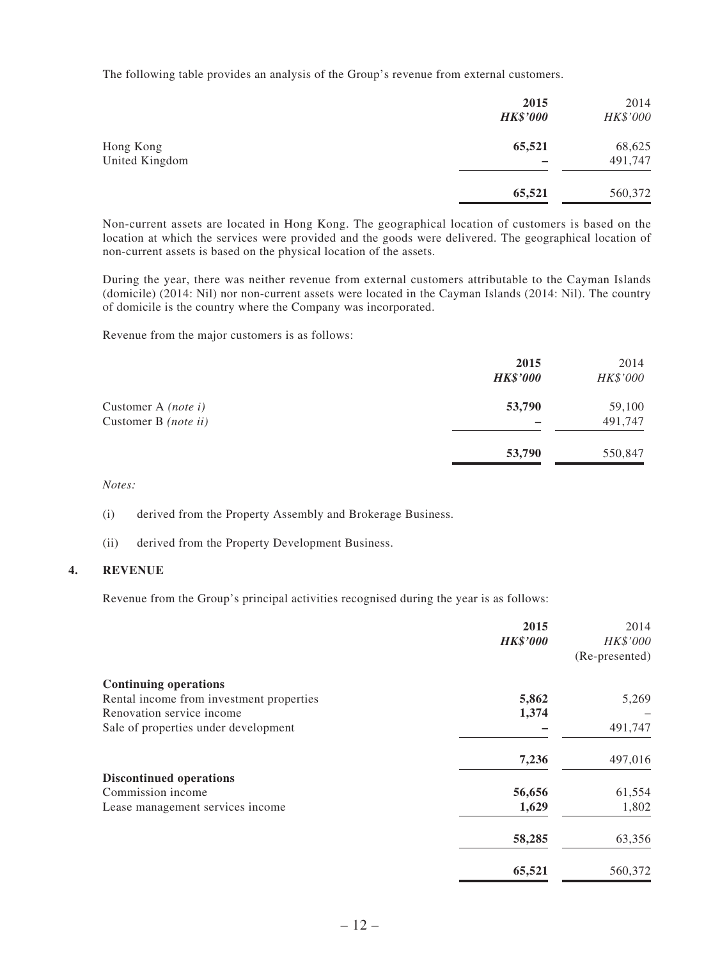The following table provides an analysis of the Group's revenue from external customers.

|                | 2015<br><b>HK\$'000</b> | 2014<br>HK\$'000 |
|----------------|-------------------------|------------------|
| Hong Kong      | 65,521                  | 68,625           |
| United Kingdom |                         | 491,747          |
|                | 65,521                  | 560,372          |

Non-current assets are located in Hong Kong. The geographical location of customers is based on the location at which the services were provided and the goods were delivered. The geographical location of non-current assets is based on the physical location of the assets.

During the year, there was neither revenue from external customers attributable to the Cayman Islands (domicile) (2014: Nil) nor non-current assets were located in the Cayman Islands (2014: Nil). The country of domicile is the country where the Company was incorporated.

Revenue from the major customers is as follows:

|                                                    | 2015<br><b>HK\$'000</b> | 2014<br>HK\$'000  |
|----------------------------------------------------|-------------------------|-------------------|
| Customer A <i>(note i)</i><br>Customer B (note ii) | 53,790                  | 59,100<br>491,747 |
|                                                    | 53,790                  | 550,847           |

*Notes:*

(i) derived from the Property Assembly and Brokerage Business.

(ii) derived from the Property Development Business.

#### **4. REVENUE**

Revenue from the Group's principal activities recognised during the year is as follows:

|                                          | 2015            | 2014           |
|------------------------------------------|-----------------|----------------|
|                                          | <b>HK\$'000</b> | HK\$'000       |
|                                          |                 | (Re-presented) |
| <b>Continuing operations</b>             |                 |                |
| Rental income from investment properties | 5,862           | 5,269          |
| Renovation service income                | 1,374           |                |
| Sale of properties under development     |                 | 491,747        |
|                                          | 7,236           | 497,016        |
| <b>Discontinued operations</b>           |                 |                |
| Commission income                        | 56,656          | 61,554         |
| Lease management services income         | 1,629           | 1,802          |
|                                          | 58,285          | 63,356         |
|                                          | 65,521          | 560,372        |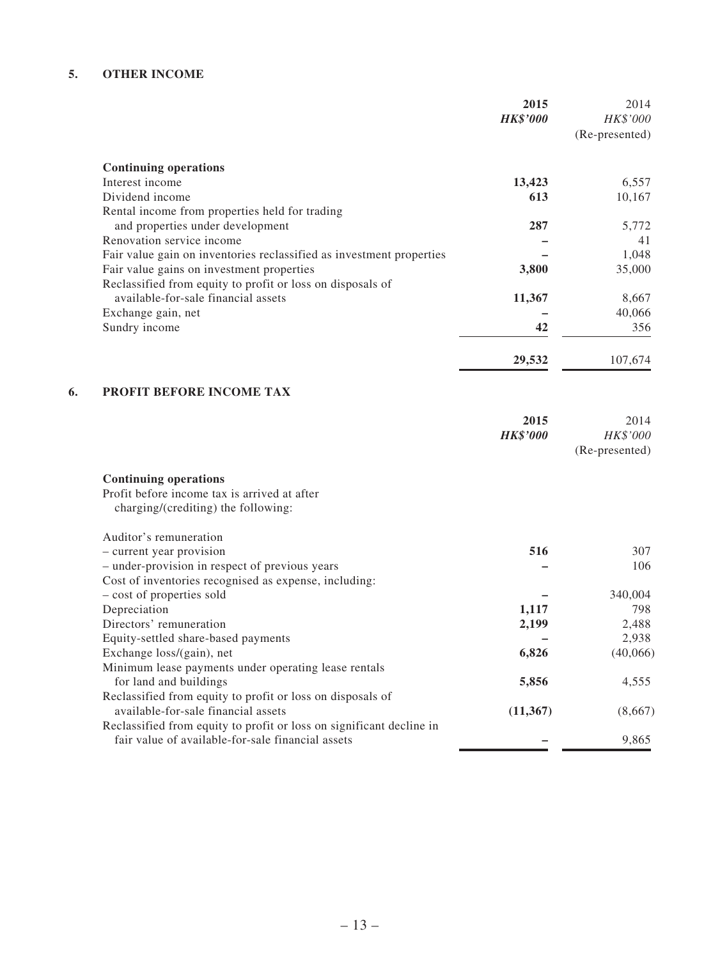#### **5. OTHER INCOME**

| 2014<br>HK\$'000<br>(Re-presented) | 2015<br><b>HK\$'000</b> |                                                                      |
|------------------------------------|-------------------------|----------------------------------------------------------------------|
|                                    |                         | <b>Continuing operations</b>                                         |
| 6,557                              | 13,423                  | Interest income                                                      |
| 10,167                             | 613                     | Dividend income                                                      |
|                                    |                         | Rental income from properties held for trading                       |
| 5,772                              | 287                     | and properties under development                                     |
| 41                                 |                         | Renovation service income                                            |
| 1,048                              |                         | Fair value gain on inventories reclassified as investment properties |
| 35,000                             | 3,800                   | Fair value gains on investment properties                            |
|                                    |                         | Reclassified from equity to profit or loss on disposals of           |
| 8,667                              | 11,367                  | available-for-sale financial assets                                  |
| 40,066                             |                         | Exchange gain, net                                                   |
| 356                                | 42                      | Sundry income                                                        |
| 107,674                            | 29,532                  |                                                                      |
|                                    |                         | PROFIT BEFORE INCOME TAX                                             |
| 2014                               | 2015                    |                                                                      |
| HK\$'000<br>(Re-presented)         | <b>HK\$'000</b>         |                                                                      |

Profit before income tax is arrived at after

charging/(crediting) the following:

| Auditor's remuneration                                               |           |          |
|----------------------------------------------------------------------|-----------|----------|
| - current year provision                                             | 516       | 307      |
| - under-provision in respect of previous years                       |           | 106      |
| Cost of inventories recognised as expense, including:                |           |          |
| - cost of properties sold                                            |           | 340,004  |
| Depreciation                                                         | 1,117     | 798      |
| Directors' remuneration                                              | 2,199     | 2,488    |
| Equity-settled share-based payments                                  |           | 2,938    |
| Exchange loss/(gain), net                                            | 6,826     | (40,066) |
| Minimum lease payments under operating lease rentals                 |           |          |
| for land and buildings                                               | 5,856     | 4,555    |
| Reclassified from equity to profit or loss on disposals of           |           |          |
| available-for-sale financial assets                                  | (11, 367) | (8,667)  |
| Reclassified from equity to profit or loss on significant decline in |           |          |
| fair value of available-for-sale financial assets                    |           | 9,865    |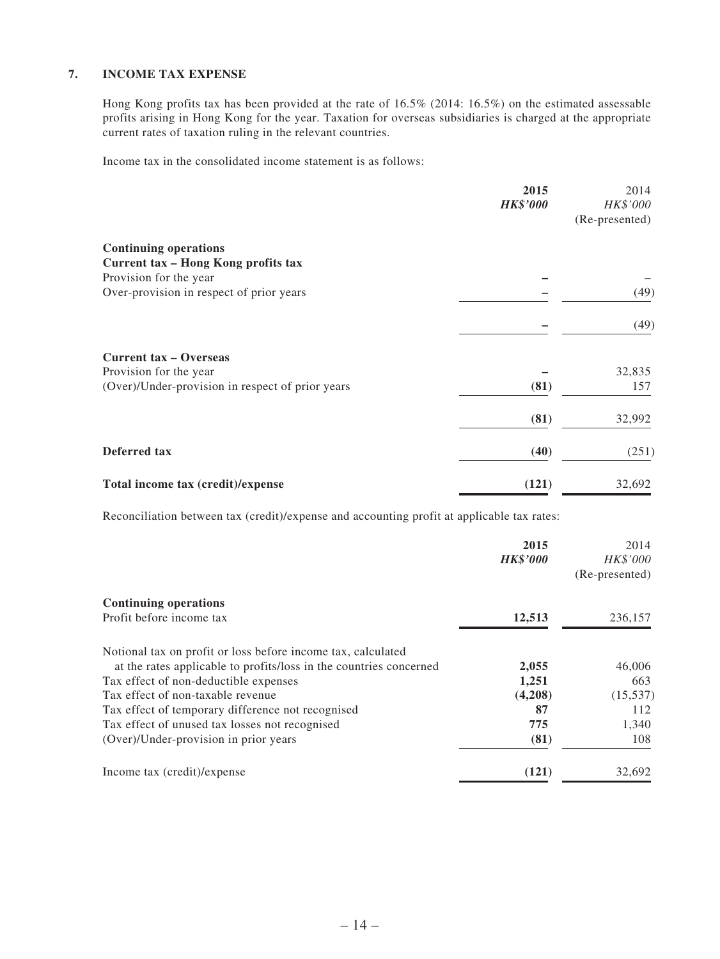#### **7. INCOME TAX EXPENSE**

Hong Kong profits tax has been provided at the rate of 16.5% (2014: 16.5%) on the estimated assessable profits arising in Hong Kong for the year. Taxation for overseas subsidiaries is charged at the appropriate current rates of taxation ruling in the relevant countries.

Income tax in the consolidated income statement is as follows:

|                                                  | 2015            | 2014           |
|--------------------------------------------------|-----------------|----------------|
|                                                  | <b>HK\$'000</b> | HK\$'000       |
|                                                  |                 | (Re-presented) |
| <b>Continuing operations</b>                     |                 |                |
| Current tax - Hong Kong profits tax              |                 |                |
| Provision for the year                           |                 |                |
| Over-provision in respect of prior years         |                 | (49)           |
|                                                  |                 | (49)           |
| <b>Current tax - Overseas</b>                    |                 |                |
| Provision for the year                           |                 | 32,835         |
| (Over)/Under-provision in respect of prior years | (81)            | 157            |
|                                                  | (81)            | 32,992         |
| Deferred tax                                     | (40)            | (251)          |
| Total income tax (credit)/expense                | (121)           | 32,692         |

Reconciliation between tax (credit)/expense and accounting profit at applicable tax rates:

|                                                                    | 2015            | 2014           |
|--------------------------------------------------------------------|-----------------|----------------|
|                                                                    | <b>HK\$'000</b> | HK\$'000       |
|                                                                    |                 | (Re-presented) |
| <b>Continuing operations</b>                                       |                 |                |
| Profit before income tax                                           | 12,513          | 236,157        |
| Notional tax on profit or loss before income tax, calculated       |                 |                |
| at the rates applicable to profits/loss in the countries concerned | 2,055           | 46,006         |
| Tax effect of non-deductible expenses                              | 1,251           | 663            |
| Tax effect of non-taxable revenue                                  | (4,208)         | (15, 537)      |
| Tax effect of temporary difference not recognised                  | 87              | 112            |
| Tax effect of unused tax losses not recognised                     | 775             | 1,340          |
| (Over)/Under-provision in prior years                              | (81)            | 108            |
| Income tax (credit)/expense                                        | (121)           | 32,692         |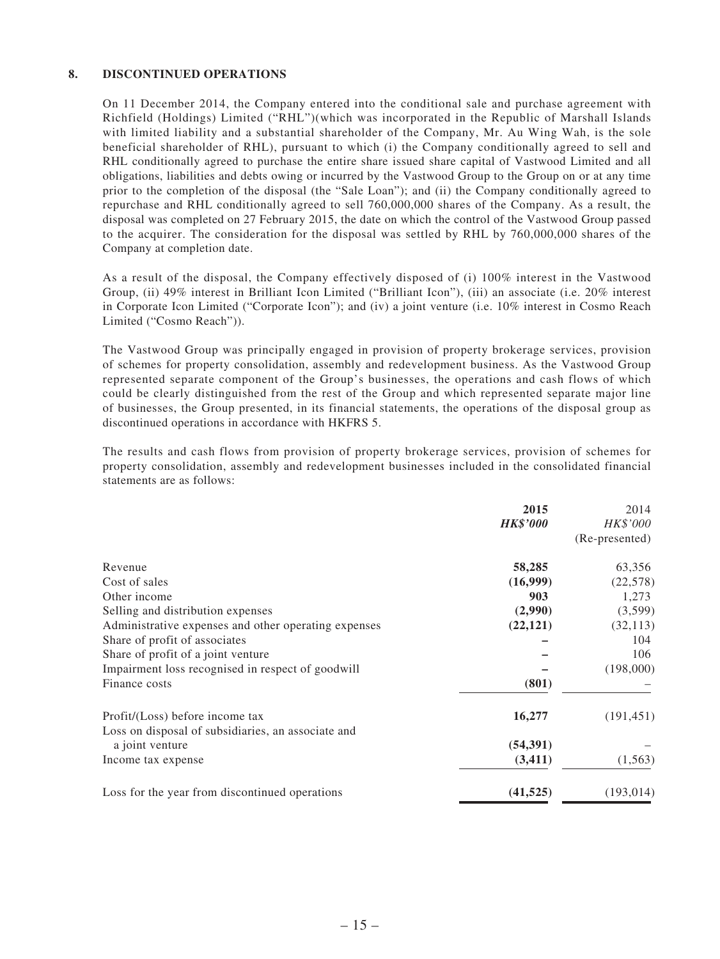#### **8. DISCONTINUED OPERATIONS**

On 11 December 2014, the Company entered into the conditional sale and purchase agreement with Richfield (Holdings) Limited ("RHL")(which was incorporated in the Republic of Marshall Islands with limited liability and a substantial shareholder of the Company, Mr. Au Wing Wah, is the sole beneficial shareholder of RHL), pursuant to which (i) the Company conditionally agreed to sell and RHL conditionally agreed to purchase the entire share issued share capital of Vastwood Limited and all obligations, liabilities and debts owing or incurred by the Vastwood Group to the Group on or at any time prior to the completion of the disposal (the "Sale Loan"); and (ii) the Company conditionally agreed to repurchase and RHL conditionally agreed to sell 760,000,000 shares of the Company. As a result, the disposal was completed on 27 February 2015, the date on which the control of the Vastwood Group passed to the acquirer. The consideration for the disposal was settled by RHL by 760,000,000 shares of the Company at completion date.

As a result of the disposal, the Company effectively disposed of (i) 100% interest in the Vastwood Group, (ii) 49% interest in Brilliant Icon Limited ("Brilliant Icon"), (iii) an associate (i.e. 20% interest in Corporate Icon Limited ("Corporate Icon"); and (iv) a joint venture (i.e. 10% interest in Cosmo Reach Limited ("Cosmo Reach")).

The Vastwood Group was principally engaged in provision of property brokerage services, provision of schemes for property consolidation, assembly and redevelopment business. As the Vastwood Group represented separate component of the Group's businesses, the operations and cash flows of which could be clearly distinguished from the rest of the Group and which represented separate major line of businesses, the Group presented, in its financial statements, the operations of the disposal group as discontinued operations in accordance with HKFRS 5.

The results and cash flows from provision of property brokerage services, provision of schemes for property consolidation, assembly and redevelopment businesses included in the consolidated financial statements are as follows:

|                                                      | 2015<br><b>HK\$'000</b> | 2014<br>HK\$'000<br>(Re-presented) |
|------------------------------------------------------|-------------------------|------------------------------------|
| Revenue                                              | 58,285                  | 63,356                             |
| Cost of sales                                        | (16,999)                | (22,578)                           |
| Other income                                         | 903                     | 1,273                              |
| Selling and distribution expenses                    | (2,990)                 | (3,599)                            |
| Administrative expenses and other operating expenses | (22, 121)               | (32, 113)                          |
| Share of profit of associates                        |                         | 104                                |
| Share of profit of a joint venture                   |                         | 106                                |
| Impairment loss recognised in respect of goodwill    |                         | (198,000)                          |
| Finance costs                                        | (801)                   |                                    |
| Profit/(Loss) before income tax                      | 16,277                  | (191, 451)                         |
| Loss on disposal of subsidiaries, an associate and   |                         |                                    |
| a joint venture                                      | (54, 391)               |                                    |
| Income tax expense                                   | (3,411)                 | (1, 563)                           |
| Loss for the year from discontinued operations       | (41, 525)               | (193, 014)                         |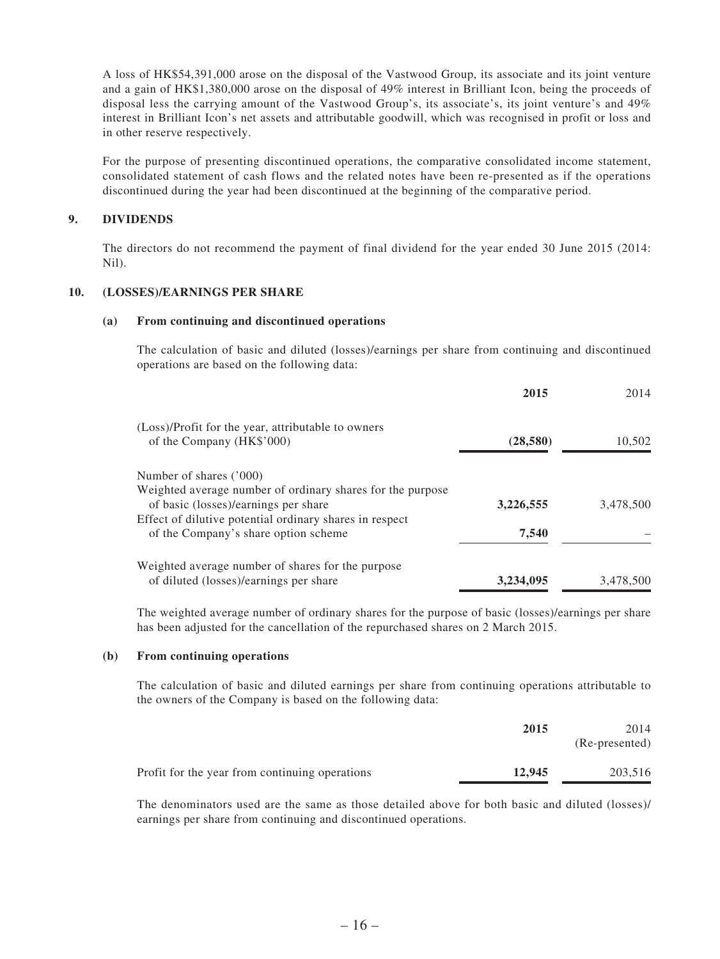A loss of HK\$54,391,000 arose on the disposal of the Vastwood Group, its associate and its joint venture and a gain of HK\$1,380,000 arose on the disposal of 49% interest in Brilliant Icon, being the proceeds of disposal less the carrying amount of the Vastwood Group's, its associate's, its joint venture's and 49% interest in Brilliant Icon's net assets and attributable goodwill, which was recognised in profit or loss and in other reserve respectively.

For the purpose of presenting discontinued operations, the comparative consolidated income statement, consolidated statement of cash flows and the related notes have been re-presented as if the operations discontinued during the year had been discontinued at the beginning of the comparative period.

#### **9. DIVIDENDS**

The directors do not recommend the payment of final dividend for the year ended 30 June 2015 (2014: Nil).

#### **10. (LOSSES)/EARNINGS PER SHARE**

#### **(a) From continuing and discontinued operations**

The calculation of basic and diluted (losses)/earnings per share from continuing and discontinued operations are based on the following data:

|                                                                                                 | 2015      | 2014      |
|-------------------------------------------------------------------------------------------------|-----------|-----------|
| (Loss)/Profit for the year, attributable to owners<br>of the Company (HK\$'000)                 | (28,580)  | 10,502    |
| Number of shares ('000)                                                                         |           |           |
| Weighted average number of ordinary shares for the purpose                                      |           |           |
| of basic (losses)/earnings per share<br>Effect of dilutive potential ordinary shares in respect | 3,226,555 | 3.478.500 |
| of the Company's share option scheme                                                            | 7,540     |           |
| Weighted average number of shares for the purpose                                               |           |           |
| of diluted (losses)/earnings per share                                                          | 3,234,095 | 3,478,500 |

The weighted average number of ordinary shares for the purpose of basic (losses)/earnings per share has been adjusted for the cancellation of the repurchased shares on 2 March 2015.

#### **(b) From continuing operations**

The calculation of basic and diluted earnings per share from continuing operations attributable to the owners of the Company is based on the following data:

|                                                | 2015   | 2014<br>(Re-presented) |
|------------------------------------------------|--------|------------------------|
| Profit for the year from continuing operations | 12.945 | 203,516                |

The denominators used are the same as those detailed above for both basic and diluted (losses)/ earnings per share from continuing and discontinued operations.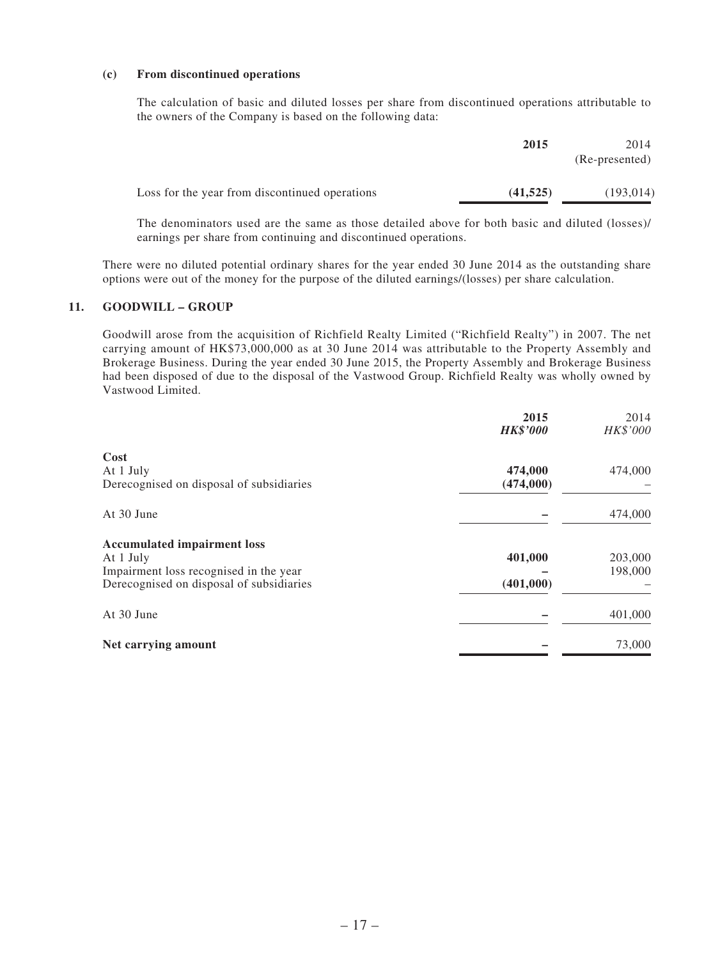#### **(c) From discontinued operations**

The calculation of basic and diluted losses per share from discontinued operations attributable to the owners of the Company is based on the following data:

|                                                | 2015      | 2014           |
|------------------------------------------------|-----------|----------------|
|                                                |           | (Re-presented) |
|                                                |           |                |
| Loss for the year from discontinued operations | (41, 525) | (193, 014)     |

The denominators used are the same as those detailed above for both basic and diluted (losses)/ earnings per share from continuing and discontinued operations.

There were no diluted potential ordinary shares for the year ended 30 June 2014 as the outstanding share options were out of the money for the purpose of the diluted earnings/(losses) per share calculation.

#### **11. GOODWILL – GROUP**

Goodwill arose from the acquisition of Richfield Realty Limited ("Richfield Realty") in 2007. The net carrying amount of HK\$73,000,000 as at 30 June 2014 was attributable to the Property Assembly and Brokerage Business. During the year ended 30 June 2015, the Property Assembly and Brokerage Business had been disposed of due to the disposal of the Vastwood Group. Richfield Realty was wholly owned by Vastwood Limited.

|                                          | 2015<br><b>HK\$'000</b> | 2014<br>HK\$'000 |
|------------------------------------------|-------------------------|------------------|
| Cost                                     |                         |                  |
| At 1 July                                | 474,000                 | 474,000          |
| Derecognised on disposal of subsidiaries | (474,000)               |                  |
| At 30 June                               |                         | 474,000          |
| <b>Accumulated impairment loss</b>       |                         |                  |
| At 1 July                                | 401,000                 | 203,000          |
| Impairment loss recognised in the year   |                         | 198,000          |
| Derecognised on disposal of subsidiaries | (401,000)               |                  |
| At 30 June                               |                         | 401,000          |
| Net carrying amount                      |                         | 73,000           |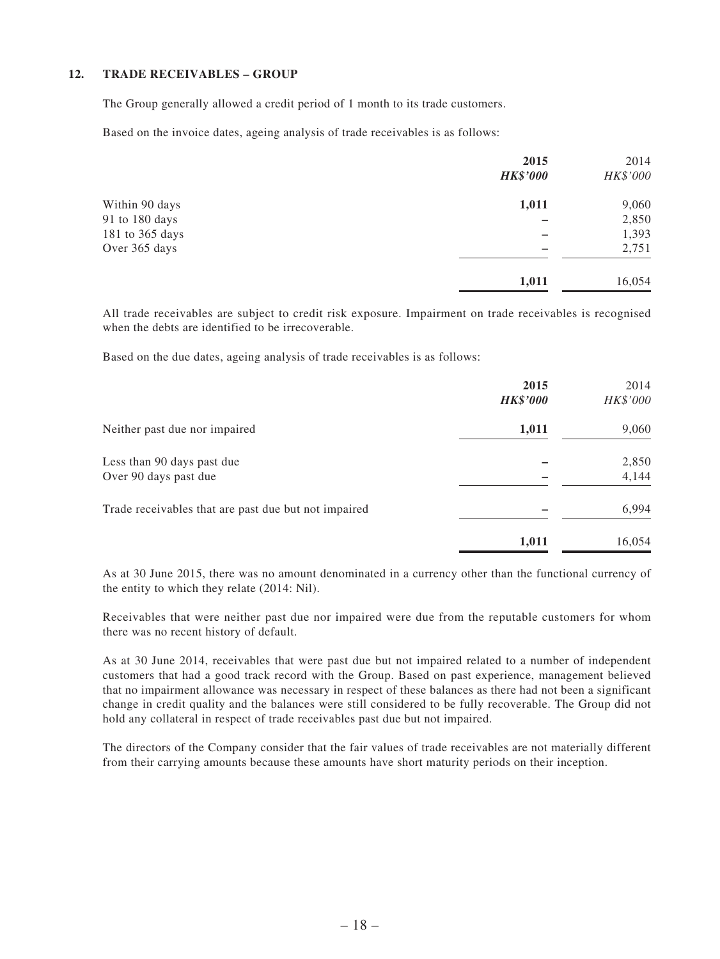#### **12. TRADE RECEIVABLES – GROUP**

The Group generally allowed a credit period of 1 month to its trade customers.

Based on the invoice dates, ageing analysis of trade receivables is as follows:

|                 | 2015            | 2014     |
|-----------------|-----------------|----------|
|                 | <b>HK\$'000</b> | HK\$'000 |
| Within 90 days  | 1,011           | 9,060    |
| 91 to 180 days  |                 | 2,850    |
| 181 to 365 days |                 | 1,393    |
| Over 365 days   |                 | 2,751    |
|                 | 1,011           | 16,054   |

All trade receivables are subject to credit risk exposure. Impairment on trade receivables is recognised when the debts are identified to be irrecoverable.

Based on the due dates, ageing analysis of trade receivables is as follows:

|                                                      | 2015<br><b>HK\$'000</b> | 2014<br>HK\$'000 |
|------------------------------------------------------|-------------------------|------------------|
| Neither past due nor impaired                        | 1,011                   | 9,060            |
| Less than 90 days past due<br>Over 90 days past due  |                         | 2,850<br>4,144   |
| Trade receivables that are past due but not impaired |                         | 6,994            |
|                                                      | 1,011                   | 16,054           |

As at 30 June 2015, there was no amount denominated in a currency other than the functional currency of the entity to which they relate (2014: Nil).

Receivables that were neither past due nor impaired were due from the reputable customers for whom there was no recent history of default.

As at 30 June 2014, receivables that were past due but not impaired related to a number of independent customers that had a good track record with the Group. Based on past experience, management believed that no impairment allowance was necessary in respect of these balances as there had not been a significant change in credit quality and the balances were still considered to be fully recoverable. The Group did not hold any collateral in respect of trade receivables past due but not impaired.

The directors of the Company consider that the fair values of trade receivables are not materially different from their carrying amounts because these amounts have short maturity periods on their inception.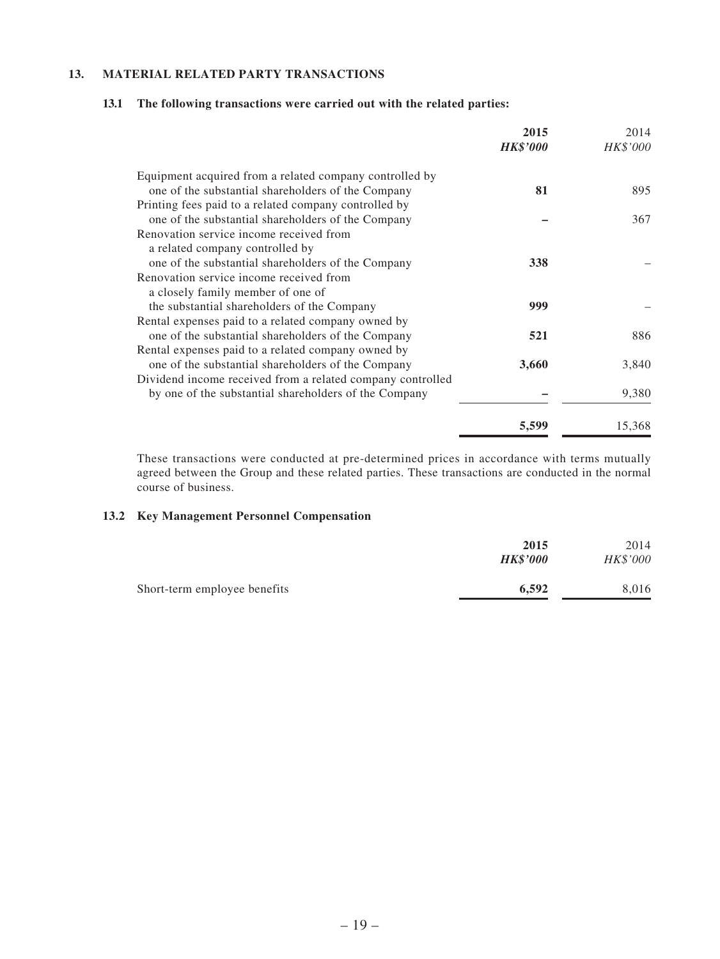#### **13. MATERIAL RELATED PARTY TRANSACTIONS**

|                                                            | 2015<br><b>HK\$'000</b> | 2014<br>HK\$'000 |
|------------------------------------------------------------|-------------------------|------------------|
| Equipment acquired from a related company controlled by    |                         |                  |
| one of the substantial shareholders of the Company         | 81                      | 895              |
| Printing fees paid to a related company controlled by      |                         |                  |
| one of the substantial shareholders of the Company         |                         | 367              |
| Renovation service income received from                    |                         |                  |
| a related company controlled by                            |                         |                  |
| one of the substantial shareholders of the Company         | 338                     |                  |
| Renovation service income received from                    |                         |                  |
| a closely family member of one of                          |                         |                  |
| the substantial shareholders of the Company                | 999                     |                  |
| Rental expenses paid to a related company owned by         |                         |                  |
| one of the substantial shareholders of the Company         | 521                     | 886              |
| Rental expenses paid to a related company owned by         |                         |                  |
| one of the substantial shareholders of the Company         | 3,660                   | 3,840            |
| Dividend income received from a related company controlled |                         |                  |
| by one of the substantial shareholders of the Company      |                         | 9,380            |
|                                                            | 5,599                   | 15,368           |

#### **13.1 The following transactions were carried out with the related parties:**

These transactions were conducted at pre-determined prices in accordance with terms mutually agreed between the Group and these related parties. These transactions are conducted in the normal course of business.

#### **13.2 Key Management Personnel Compensation**

|                              | 2015<br><b>HK\$'000</b> | 2014<br><b>HK\$'000</b> |
|------------------------------|-------------------------|-------------------------|
| Short-term employee benefits | 6.592                   | 8.016                   |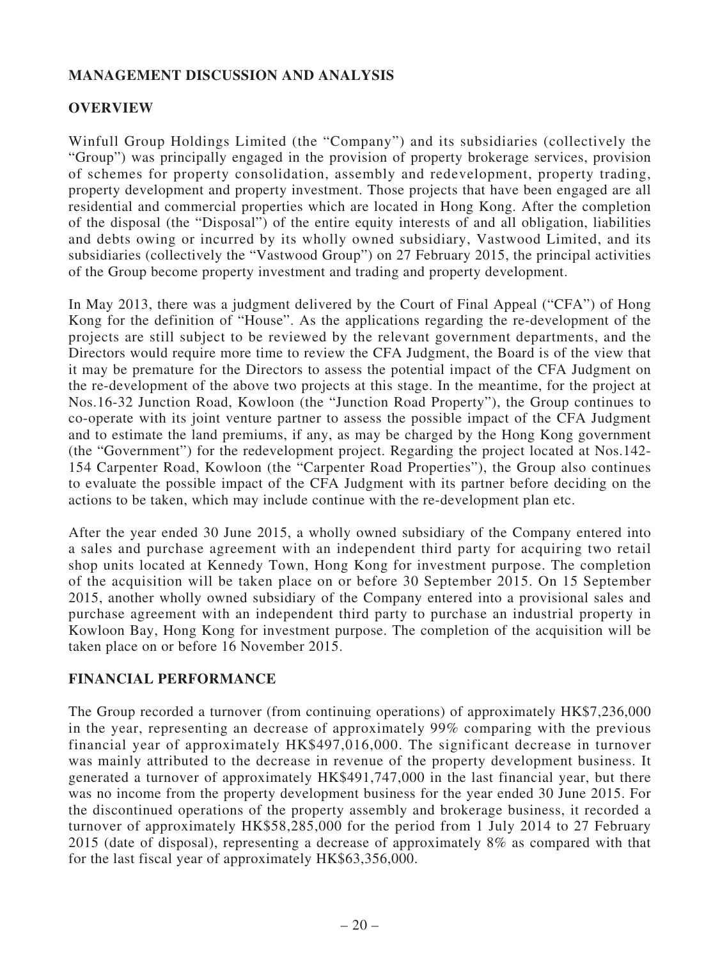### **MANAGEMENT DISCUSSION AND ANALYSIS**

### **OVERVIEW**

Winfull Group Holdings Limited (the "Company") and its subsidiaries (collectively the "Group") was principally engaged in the provision of property brokerage services, provision of schemes for property consolidation, assembly and redevelopment, property trading, property development and property investment. Those projects that have been engaged are all residential and commercial properties which are located in Hong Kong. After the completion of the disposal (the "Disposal") of the entire equity interests of and all obligation, liabilities and debts owing or incurred by its wholly owned subsidiary, Vastwood Limited, and its subsidiaries (collectively the "Vastwood Group") on 27 February 2015, the principal activities of the Group become property investment and trading and property development.

In May 2013, there was a judgment delivered by the Court of Final Appeal ("CFA") of Hong Kong for the definition of "House". As the applications regarding the re-development of the projects are still subject to be reviewed by the relevant government departments, and the Directors would require more time to review the CFA Judgment, the Board is of the view that it may be premature for the Directors to assess the potential impact of the CFA Judgment on the re-development of the above two projects at this stage. In the meantime, for the project at Nos.16-32 Junction Road, Kowloon (the "Junction Road Property"), the Group continues to co-operate with its joint venture partner to assess the possible impact of the CFA Judgment and to estimate the land premiums, if any, as may be charged by the Hong Kong government (the "Government") for the redevelopment project. Regarding the project located at Nos.142- 154 Carpenter Road, Kowloon (the "Carpenter Road Properties"), the Group also continues to evaluate the possible impact of the CFA Judgment with its partner before deciding on the actions to be taken, which may include continue with the re-development plan etc.

After the year ended 30 June 2015, a wholly owned subsidiary of the Company entered into a sales and purchase agreement with an independent third party for acquiring two retail shop units located at Kennedy Town, Hong Kong for investment purpose. The completion of the acquisition will be taken place on or before 30 September 2015. On 15 September 2015, another wholly owned subsidiary of the Company entered into a provisional sales and purchase agreement with an independent third party to purchase an industrial property in Kowloon Bay, Hong Kong for investment purpose. The completion of the acquisition will be taken place on or before 16 November 2015.

### **FINANCIAL PERFORMANCE**

The Group recorded a turnover (from continuing operations) of approximately HK\$7,236,000 in the year, representing an decrease of approximately 99% comparing with the previous financial year of approximately HK\$497,016,000. The significant decrease in turnover was mainly attributed to the decrease in revenue of the property development business. It generated a turnover of approximately HK\$491,747,000 in the last financial year, but there was no income from the property development business for the year ended 30 June 2015. For the discontinued operations of the property assembly and brokerage business, it recorded a turnover of approximately HK\$58,285,000 for the period from 1 July 2014 to 27 February 2015 (date of disposal), representing a decrease of approximately 8% as compared with that for the last fiscal year of approximately HK\$63,356,000.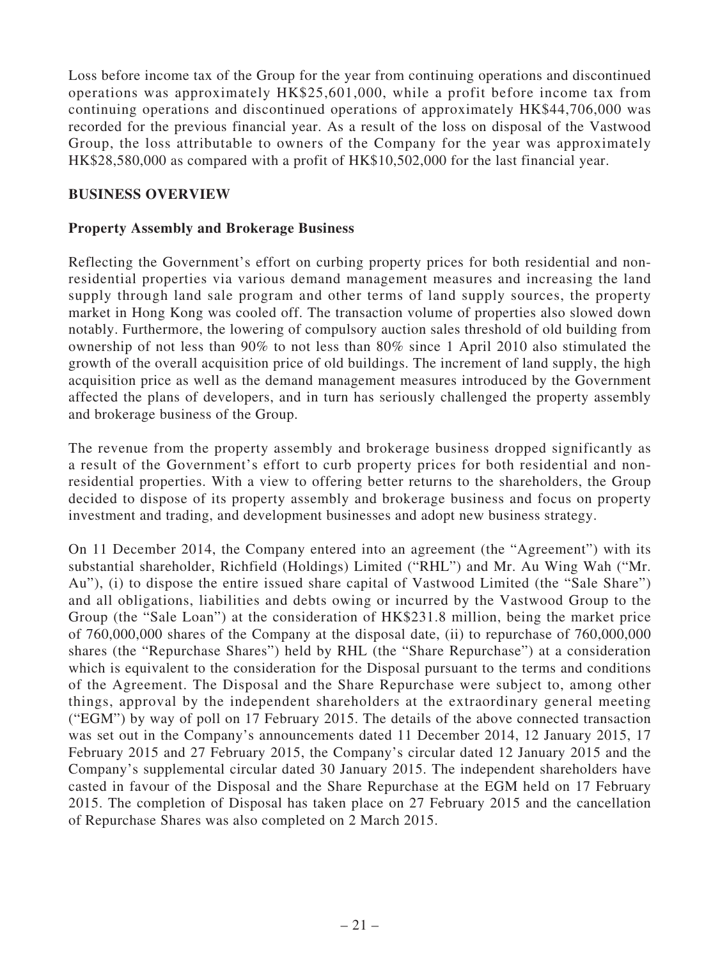Loss before income tax of the Group for the year from continuing operations and discontinued operations was approximately HK\$25,601,000, while a profit before income tax from continuing operations and discontinued operations of approximately HK\$44,706,000 was recorded for the previous financial year. As a result of the loss on disposal of the Vastwood Group, the loss attributable to owners of the Company for the year was approximately HK\$28,580,000 as compared with a profit of HK\$10,502,000 for the last financial year.

#### **BUSINESS OVERVIEW**

#### **Property Assembly and Brokerage Business**

Reflecting the Government's effort on curbing property prices for both residential and nonresidential properties via various demand management measures and increasing the land supply through land sale program and other terms of land supply sources, the property market in Hong Kong was cooled off. The transaction volume of properties also slowed down notably. Furthermore, the lowering of compulsory auction sales threshold of old building from ownership of not less than 90% to not less than 80% since 1 April 2010 also stimulated the growth of the overall acquisition price of old buildings. The increment of land supply, the high acquisition price as well as the demand management measures introduced by the Government affected the plans of developers, and in turn has seriously challenged the property assembly and brokerage business of the Group.

The revenue from the property assembly and brokerage business dropped significantly as a result of the Government's effort to curb property prices for both residential and nonresidential properties. With a view to offering better returns to the shareholders, the Group decided to dispose of its property assembly and brokerage business and focus on property investment and trading, and development businesses and adopt new business strategy.

On 11 December 2014, the Company entered into an agreement (the "Agreement") with its substantial shareholder, Richfield (Holdings) Limited ("RHL") and Mr. Au Wing Wah ("Mr. Au"), (i) to dispose the entire issued share capital of Vastwood Limited (the "Sale Share") and all obligations, liabilities and debts owing or incurred by the Vastwood Group to the Group (the "Sale Loan") at the consideration of HK\$231.8 million, being the market price of 760,000,000 shares of the Company at the disposal date, (ii) to repurchase of 760,000,000 shares (the "Repurchase Shares") held by RHL (the "Share Repurchase") at a consideration which is equivalent to the consideration for the Disposal pursuant to the terms and conditions of the Agreement. The Disposal and the Share Repurchase were subject to, among other things, approval by the independent shareholders at the extraordinary general meeting ("EGM") by way of poll on 17 February 2015. The details of the above connected transaction was set out in the Company's announcements dated 11 December 2014, 12 January 2015, 17 February 2015 and 27 February 2015, the Company's circular dated 12 January 2015 and the Company's supplemental circular dated 30 January 2015. The independent shareholders have casted in favour of the Disposal and the Share Repurchase at the EGM held on 17 February 2015. The completion of Disposal has taken place on 27 February 2015 and the cancellation of Repurchase Shares was also completed on 2 March 2015.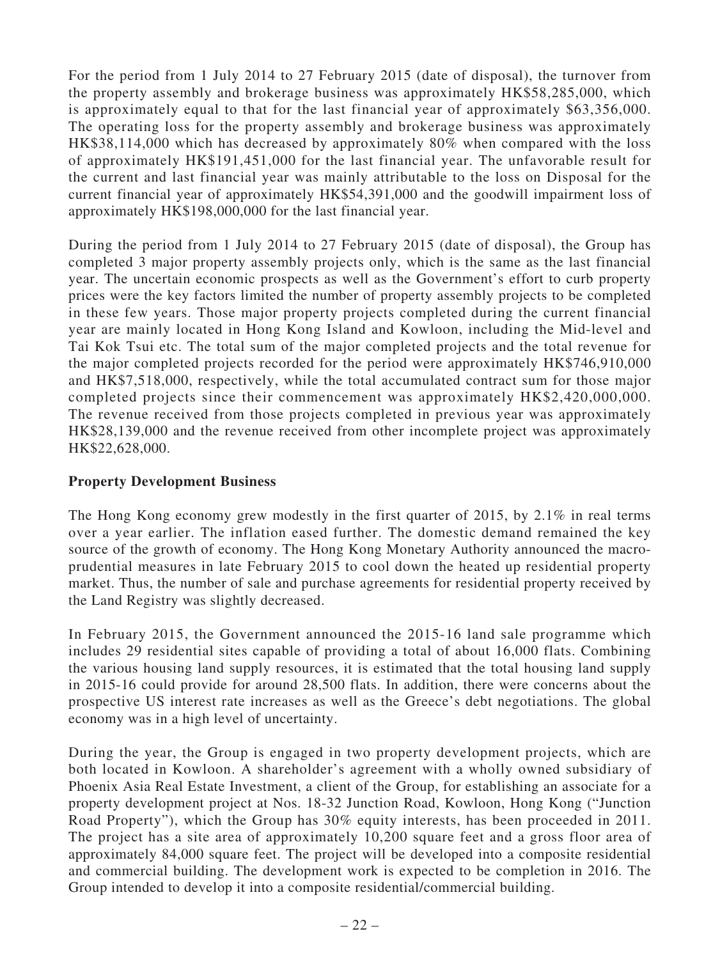For the period from 1 July 2014 to 27 February 2015 (date of disposal), the turnover from the property assembly and brokerage business was approximately HK\$58,285,000, which is approximately equal to that for the last financial year of approximately \$63,356,000. The operating loss for the property assembly and brokerage business was approximately HK\$38,114,000 which has decreased by approximately 80% when compared with the loss of approximately HK\$191,451,000 for the last financial year. The unfavorable result for the current and last financial year was mainly attributable to the loss on Disposal for the current financial year of approximately HK\$54,391,000 and the goodwill impairment loss of approximately HK\$198,000,000 for the last financial year.

During the period from 1 July 2014 to 27 February 2015 (date of disposal), the Group has completed 3 major property assembly projects only, which is the same as the last financial year. The uncertain economic prospects as well as the Government's effort to curb property prices were the key factors limited the number of property assembly projects to be completed in these few years. Those major property projects completed during the current financial year are mainly located in Hong Kong Island and Kowloon, including the Mid-level and Tai Kok Tsui etc. The total sum of the major completed projects and the total revenue for the major completed projects recorded for the period were approximately HK\$746,910,000 and HK\$7,518,000, respectively, while the total accumulated contract sum for those major completed projects since their commencement was approximately HK\$2,420,000,000. The revenue received from those projects completed in previous year was approximately HK\$28,139,000 and the revenue received from other incomplete project was approximately HK\$22,628,000.

### **Property Development Business**

The Hong Kong economy grew modestly in the first quarter of 2015, by 2.1% in real terms over a year earlier. The inflation eased further. The domestic demand remained the key source of the growth of economy. The Hong Kong Monetary Authority announced the macroprudential measures in late February 2015 to cool down the heated up residential property market. Thus, the number of sale and purchase agreements for residential property received by the Land Registry was slightly decreased.

In February 2015, the Government announced the 2015-16 land sale programme which includes 29 residential sites capable of providing a total of about 16,000 flats. Combining the various housing land supply resources, it is estimated that the total housing land supply in 2015-16 could provide for around 28,500 flats. In addition, there were concerns about the prospective US interest rate increases as well as the Greece's debt negotiations. The global economy was in a high level of uncertainty.

During the year, the Group is engaged in two property development projects, which are both located in Kowloon. A shareholder's agreement with a wholly owned subsidiary of Phoenix Asia Real Estate Investment, a client of the Group, for establishing an associate for a property development project at Nos. 18-32 Junction Road, Kowloon, Hong Kong ("Junction Road Property"), which the Group has 30% equity interests, has been proceeded in 2011. The project has a site area of approximately 10,200 square feet and a gross floor area of approximately 84,000 square feet. The project will be developed into a composite residential and commercial building. The development work is expected to be completion in 2016. The Group intended to develop it into a composite residential/commercial building.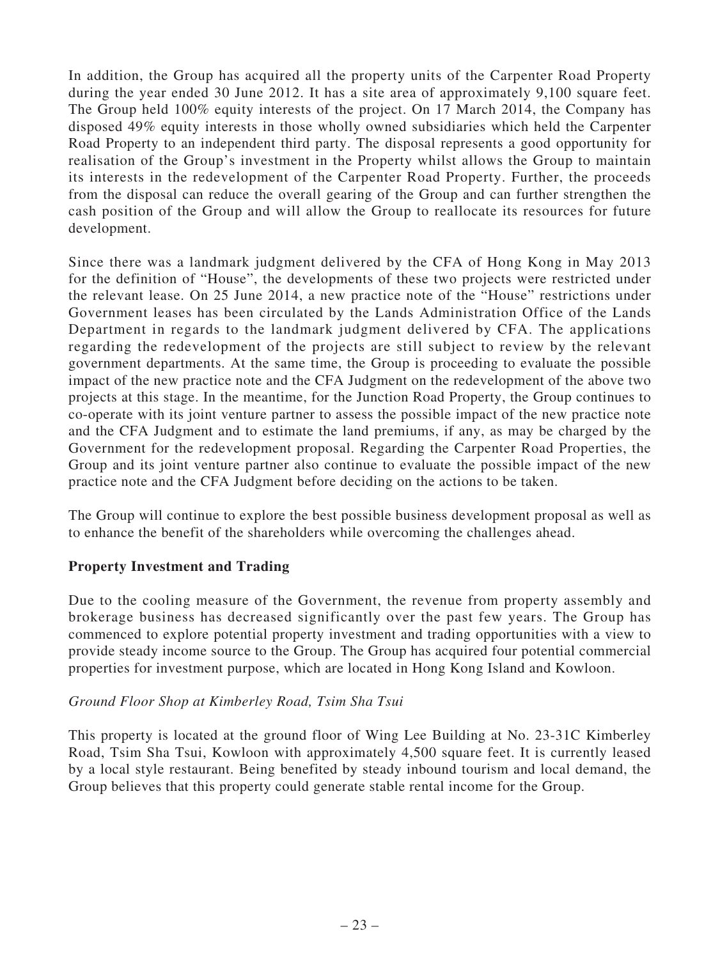In addition, the Group has acquired all the property units of the Carpenter Road Property during the year ended 30 June 2012. It has a site area of approximately 9,100 square feet. The Group held 100% equity interests of the project. On 17 March 2014, the Company has disposed 49% equity interests in those wholly owned subsidiaries which held the Carpenter Road Property to an independent third party. The disposal represents a good opportunity for realisation of the Group's investment in the Property whilst allows the Group to maintain its interests in the redevelopment of the Carpenter Road Property. Further, the proceeds from the disposal can reduce the overall gearing of the Group and can further strengthen the cash position of the Group and will allow the Group to reallocate its resources for future development.

Since there was a landmark judgment delivered by the CFA of Hong Kong in May 2013 for the definition of "House", the developments of these two projects were restricted under the relevant lease. On 25 June 2014, a new practice note of the "House" restrictions under Government leases has been circulated by the Lands Administration Office of the Lands Department in regards to the landmark judgment delivered by CFA. The applications regarding the redevelopment of the projects are still subject to review by the relevant government departments. At the same time, the Group is proceeding to evaluate the possible impact of the new practice note and the CFA Judgment on the redevelopment of the above two projects at this stage. In the meantime, for the Junction Road Property, the Group continues to co-operate with its joint venture partner to assess the possible impact of the new practice note and the CFA Judgment and to estimate the land premiums, if any, as may be charged by the Government for the redevelopment proposal. Regarding the Carpenter Road Properties, the Group and its joint venture partner also continue to evaluate the possible impact of the new practice note and the CFA Judgment before deciding on the actions to be taken.

The Group will continue to explore the best possible business development proposal as well as to enhance the benefit of the shareholders while overcoming the challenges ahead.

### **Property Investment and Trading**

Due to the cooling measure of the Government, the revenue from property assembly and brokerage business has decreased significantly over the past few years. The Group has commenced to explore potential property investment and trading opportunities with a view to provide steady income source to the Group. The Group has acquired four potential commercial properties for investment purpose, which are located in Hong Kong Island and Kowloon.

### *Ground Floor Shop at Kimberley Road, Tsim Sha Tsui*

This property is located at the ground floor of Wing Lee Building at No. 23-31C Kimberley Road, Tsim Sha Tsui, Kowloon with approximately 4,500 square feet. It is currently leased by a local style restaurant. Being benefited by steady inbound tourism and local demand, the Group believes that this property could generate stable rental income for the Group.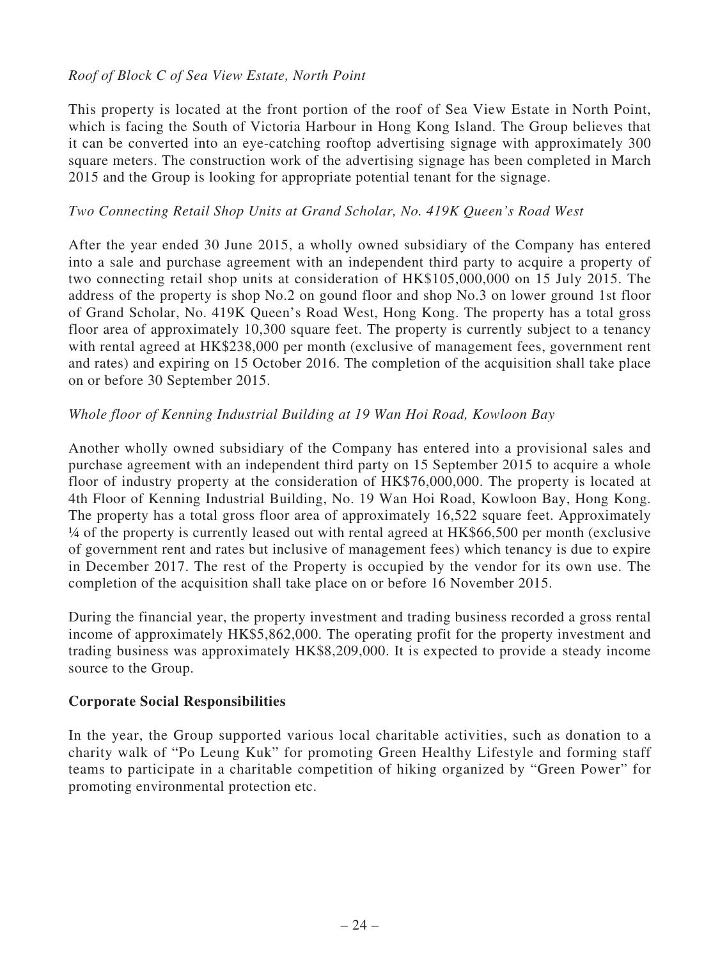### *Roof of Block C of Sea View Estate, North Point*

This property is located at the front portion of the roof of Sea View Estate in North Point, which is facing the South of Victoria Harbour in Hong Kong Island. The Group believes that it can be converted into an eye-catching rooftop advertising signage with approximately 300 square meters. The construction work of the advertising signage has been completed in March 2015 and the Group is looking for appropriate potential tenant for the signage.

#### *Two Connecting Retail Shop Units at Grand Scholar, No. 419K Queen's Road West*

After the year ended 30 June 2015, a wholly owned subsidiary of the Company has entered into a sale and purchase agreement with an independent third party to acquire a property of two connecting retail shop units at consideration of HK\$105,000,000 on 15 July 2015. The address of the property is shop No.2 on gound floor and shop No.3 on lower ground 1st floor of Grand Scholar, No. 419K Queen's Road West, Hong Kong. The property has a total gross floor area of approximately 10,300 square feet. The property is currently subject to a tenancy with rental agreed at HK\$238,000 per month (exclusive of management fees, government rent and rates) and expiring on 15 October 2016. The completion of the acquisition shall take place on or before 30 September 2015.

### *Whole floor of Kenning Industrial Building at 19 Wan Hoi Road, Kowloon Bay*

Another wholly owned subsidiary of the Company has entered into a provisional sales and purchase agreement with an independent third party on 15 September 2015 to acquire a whole floor of industry property at the consideration of HK\$76,000,000. The property is located at 4th Floor of Kenning Industrial Building, No. 19 Wan Hoi Road, Kowloon Bay, Hong Kong. The property has a total gross floor area of approximately 16,522 square feet. Approximately ¼ of the property is currently leased out with rental agreed at HK\$66,500 per month (exclusive of government rent and rates but inclusive of management fees) which tenancy is due to expire in December 2017. The rest of the Property is occupied by the vendor for its own use. The completion of the acquisition shall take place on or before 16 November 2015.

During the financial year, the property investment and trading business recorded a gross rental income of approximately HK\$5,862,000. The operating profit for the property investment and trading business was approximately HK\$8,209,000. It is expected to provide a steady income source to the Group.

### **Corporate Social Responsibilities**

In the year, the Group supported various local charitable activities, such as donation to a charity walk of "Po Leung Kuk" for promoting Green Healthy Lifestyle and forming staff teams to participate in a charitable competition of hiking organized by "Green Power" for promoting environmental protection etc.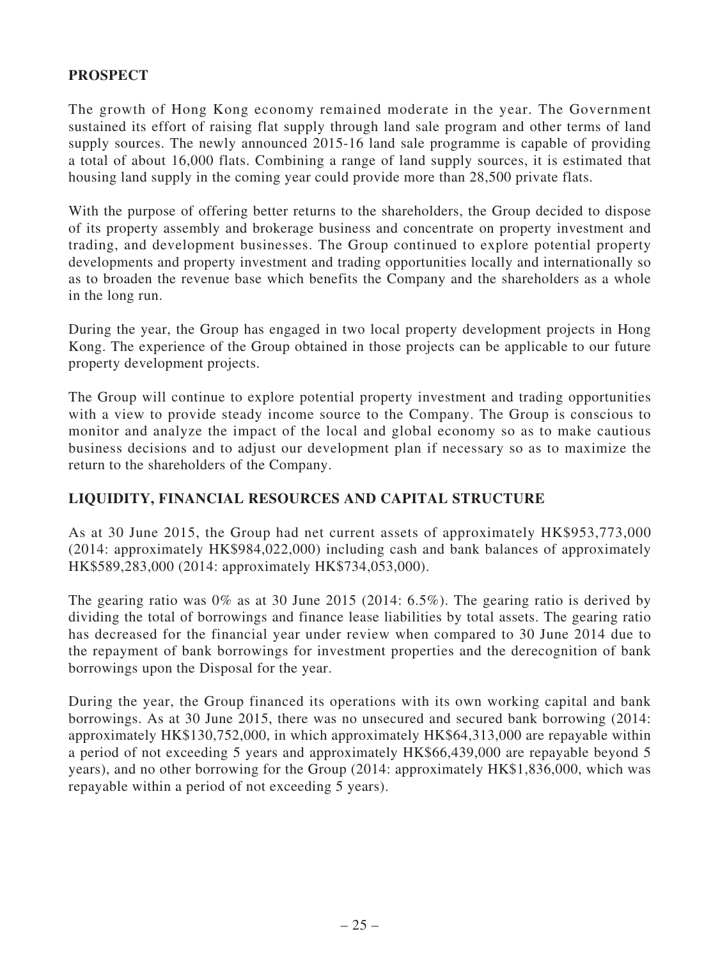### **PROSPECT**

The growth of Hong Kong economy remained moderate in the year. The Government sustained its effort of raising flat supply through land sale program and other terms of land supply sources. The newly announced 2015-16 land sale programme is capable of providing a total of about 16,000 flats. Combining a range of land supply sources, it is estimated that housing land supply in the coming year could provide more than 28,500 private flats.

With the purpose of offering better returns to the shareholders, the Group decided to dispose of its property assembly and brokerage business and concentrate on property investment and trading, and development businesses. The Group continued to explore potential property developments and property investment and trading opportunities locally and internationally so as to broaden the revenue base which benefits the Company and the shareholders as a whole in the long run.

During the year, the Group has engaged in two local property development projects in Hong Kong. The experience of the Group obtained in those projects can be applicable to our future property development projects.

The Group will continue to explore potential property investment and trading opportunities with a view to provide steady income source to the Company. The Group is conscious to monitor and analyze the impact of the local and global economy so as to make cautious business decisions and to adjust our development plan if necessary so as to maximize the return to the shareholders of the Company.

### **LIQUIDITY, FINANCIAL RESOURCES AND CAPITAL STRUCTURE**

As at 30 June 2015, the Group had net current assets of approximately HK\$953,773,000 (2014: approximately HK\$984,022,000) including cash and bank balances of approximately HK\$589,283,000 (2014: approximately HK\$734,053,000).

The gearing ratio was 0% as at 30 June 2015 (2014: 6.5%). The gearing ratio is derived by dividing the total of borrowings and finance lease liabilities by total assets. The gearing ratio has decreased for the financial year under review when compared to 30 June 2014 due to the repayment of bank borrowings for investment properties and the derecognition of bank borrowings upon the Disposal for the year.

During the year, the Group financed its operations with its own working capital and bank borrowings. As at 30 June 2015, there was no unsecured and secured bank borrowing (2014: approximately HK\$130,752,000, in which approximately HK\$64,313,000 are repayable within a period of not exceeding 5 years and approximately HK\$66,439,000 are repayable beyond 5 years), and no other borrowing for the Group (2014: approximately HK\$1,836,000, which was repayable within a period of not exceeding 5 years).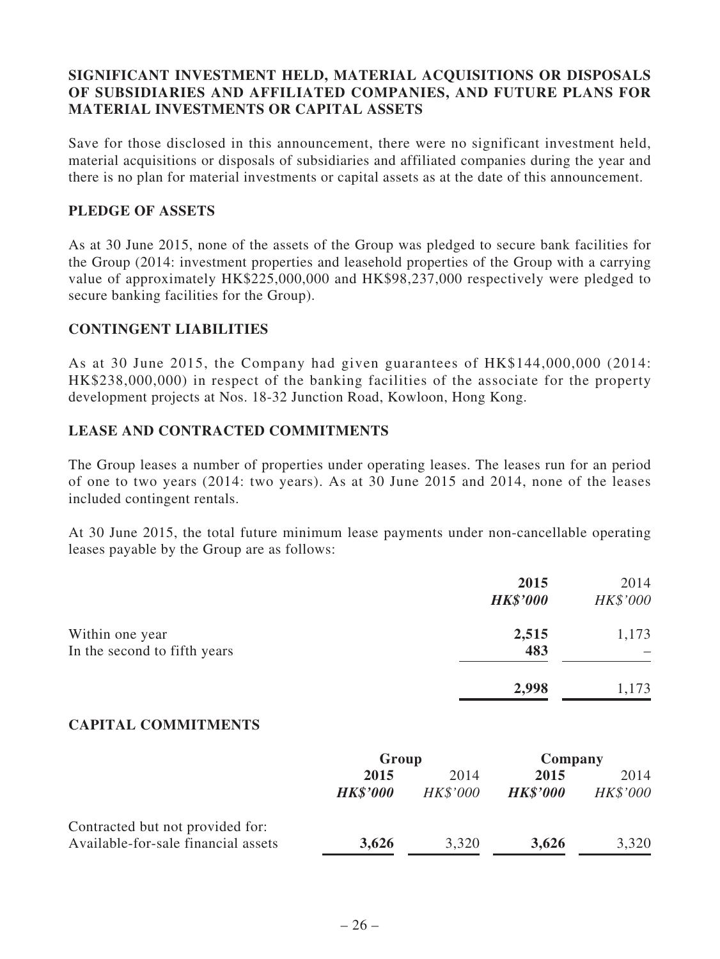### **SIGNIFICANT INVESTMENT HELD, MATERIAL ACQUISITIONS OR DISPOSALS OF SUBSIDIARIES AND AFFILIATED COMPANIES, AND FUTURE PLANS FOR MATERIAL INVESTMENTS OR CAPITAL ASSETS**

Save for those disclosed in this announcement, there were no significant investment held, material acquisitions or disposals of subsidiaries and affiliated companies during the year and there is no plan for material investments or capital assets as at the date of this announcement.

#### **PLEDGE OF ASSETS**

As at 30 June 2015, none of the assets of the Group was pledged to secure bank facilities for the Group (2014: investment properties and leasehold properties of the Group with a carrying value of approximately HK\$225,000,000 and HK\$98,237,000 respectively were pledged to secure banking facilities for the Group).

#### **CONTINGENT LIABILITIES**

As at 30 June 2015, the Company had given guarantees of HK\$144,000,000 (2014: HK\$238,000,000) in respect of the banking facilities of the associate for the property development projects at Nos. 18-32 Junction Road, Kowloon, Hong Kong.

#### **LEASE AND CONTRACTED COMMITMENTS**

The Group leases a number of properties under operating leases. The leases run for an period of one to two years (2014: two years). As at 30 June 2015 and 2014, none of the leases included contingent rentals.

At 30 June 2015, the total future minimum lease payments under non-cancellable operating leases payable by the Group are as follows:

|                                                 | 2015<br><b>HK\$'000</b> | 2014<br>HK\$'000 |
|-------------------------------------------------|-------------------------|------------------|
| Within one year<br>In the second to fifth years | 2,515<br>483            | 1,173            |
|                                                 | 2,998                   | 1,173            |

### **CAPITAL COMMITMENTS**

|                                     | Group           |          | Company         |          |
|-------------------------------------|-----------------|----------|-----------------|----------|
|                                     | 2015            | 2014     | 2015            | 2014     |
|                                     | <b>HK\$'000</b> | HK\$'000 | <b>HK\$'000</b> | HK\$'000 |
| Contracted but not provided for:    |                 |          |                 |          |
| Available-for-sale financial assets | 3,626           | 3,320    | 3,626           | 3,320    |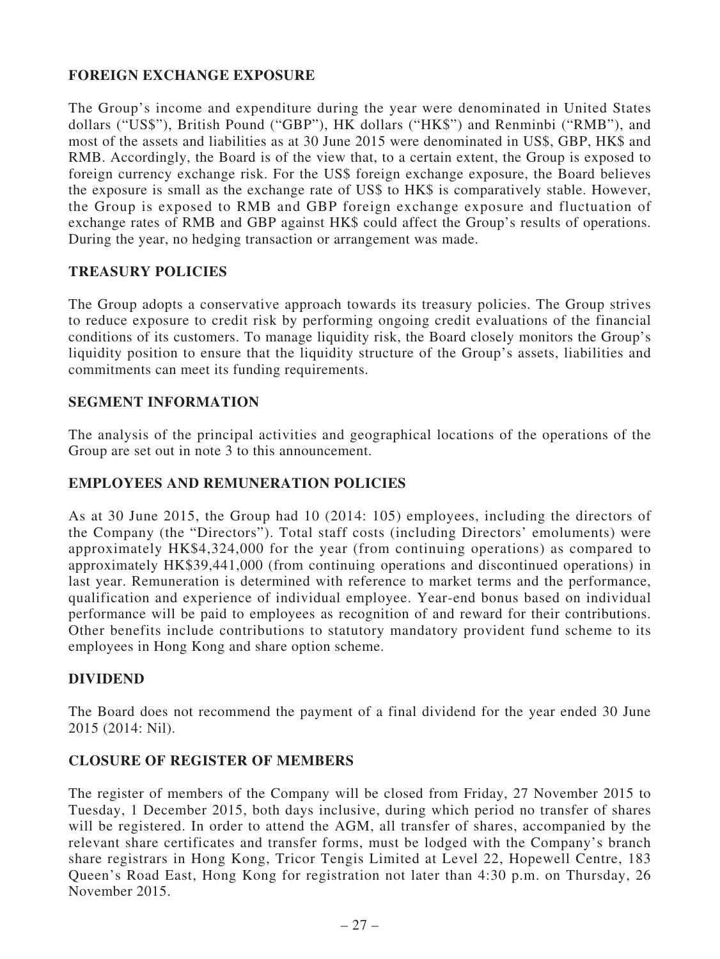### **FOREIGN EXCHANGE EXPOSURE**

The Group's income and expenditure during the year were denominated in United States dollars ("US\$"), British Pound ("GBP"), HK dollars ("HK\$") and Renminbi ("RMB"), and most of the assets and liabilities as at 30 June 2015 were denominated in US\$, GBP, HK\$ and RMB. Accordingly, the Board is of the view that, to a certain extent, the Group is exposed to foreign currency exchange risk. For the US\$ foreign exchange exposure, the Board believes the exposure is small as the exchange rate of US\$ to HK\$ is comparatively stable. However, the Group is exposed to RMB and GBP foreign exchange exposure and fluctuation of exchange rates of RMB and GBP against HK\$ could affect the Group's results of operations. During the year, no hedging transaction or arrangement was made.

### **TREASURY POLICIES**

The Group adopts a conservative approach towards its treasury policies. The Group strives to reduce exposure to credit risk by performing ongoing credit evaluations of the financial conditions of its customers. To manage liquidity risk, the Board closely monitors the Group's liquidity position to ensure that the liquidity structure of the Group's assets, liabilities and commitments can meet its funding requirements.

#### **SEGMENT INFORMATION**

The analysis of the principal activities and geographical locations of the operations of the Group are set out in note 3 to this announcement.

#### **EMPLOYEES AND REMUNERATION POLICIES**

As at 30 June 2015, the Group had 10 (2014: 105) employees, including the directors of the Company (the "Directors"). Total staff costs (including Directors' emoluments) were approximately HK\$4,324,000 for the year (from continuing operations) as compared to approximately HK\$39,441,000 (from continuing operations and discontinued operations) in last year. Remuneration is determined with reference to market terms and the performance, qualification and experience of individual employee. Year-end bonus based on individual performance will be paid to employees as recognition of and reward for their contributions. Other benefits include contributions to statutory mandatory provident fund scheme to its employees in Hong Kong and share option scheme.

### **DIVIDEND**

The Board does not recommend the payment of a final dividend for the year ended 30 June 2015 (2014: Nil).

#### **CLOSURE OF REGISTER OF MEMBERS**

The register of members of the Company will be closed from Friday, 27 November 2015 to Tuesday, 1 December 2015, both days inclusive, during which period no transfer of shares will be registered. In order to attend the AGM, all transfer of shares, accompanied by the relevant share certificates and transfer forms, must be lodged with the Company's branch share registrars in Hong Kong, Tricor Tengis Limited at Level 22, Hopewell Centre, 183 Queen's Road East, Hong Kong for registration not later than 4:30 p.m. on Thursday, 26 November 2015.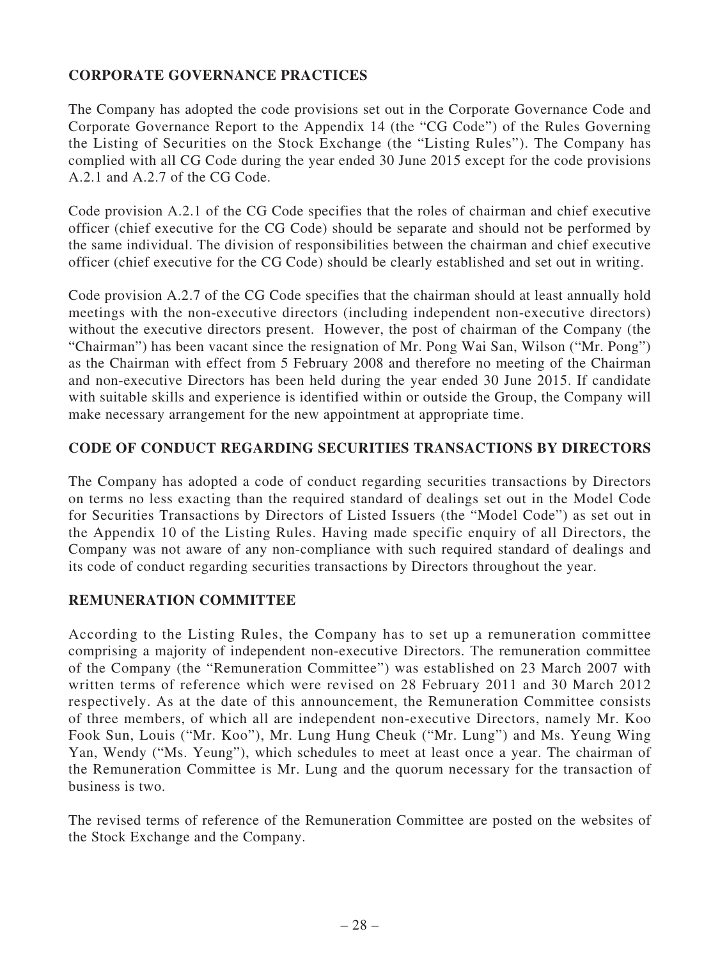### **CORPORATE GOVERNANCE PRACTICES**

The Company has adopted the code provisions set out in the Corporate Governance Code and Corporate Governance Report to the Appendix 14 (the "CG Code") of the Rules Governing the Listing of Securities on the Stock Exchange (the "Listing Rules"). The Company has complied with all CG Code during the year ended 30 June 2015 except for the code provisions A.2.1 and A.2.7 of the CG Code.

Code provision A.2.1 of the CG Code specifies that the roles of chairman and chief executive officer (chief executive for the CG Code) should be separate and should not be performed by the same individual. The division of responsibilities between the chairman and chief executive officer (chief executive for the CG Code) should be clearly established and set out in writing.

Code provision A.2.7 of the CG Code specifies that the chairman should at least annually hold meetings with the non-executive directors (including independent non-executive directors) without the executive directors present. However, the post of chairman of the Company (the "Chairman") has been vacant since the resignation of Mr. Pong Wai San, Wilson ("Mr. Pong") as the Chairman with effect from 5 February 2008 and therefore no meeting of the Chairman and non-executive Directors has been held during the year ended 30 June 2015. If candidate with suitable skills and experience is identified within or outside the Group, the Company will make necessary arrangement for the new appointment at appropriate time.

### **CODE OF CONDUCT REGARDING SECURITIES TRANSACTIONS BY DIRECTORS**

The Company has adopted a code of conduct regarding securities transactions by Directors on terms no less exacting than the required standard of dealings set out in the Model Code for Securities Transactions by Directors of Listed Issuers (the "Model Code") as set out in the Appendix 10 of the Listing Rules. Having made specific enquiry of all Directors, the Company was not aware of any non-compliance with such required standard of dealings and its code of conduct regarding securities transactions by Directors throughout the year.

### **REMUNERATION COMMITTEE**

According to the Listing Rules, the Company has to set up a remuneration committee comprising a majority of independent non-executive Directors. The remuneration committee of the Company (the "Remuneration Committee") was established on 23 March 2007 with written terms of reference which were revised on 28 February 2011 and 30 March 2012 respectively. As at the date of this announcement, the Remuneration Committee consists of three members, of which all are independent non-executive Directors, namely Mr. Koo Fook Sun, Louis ("Mr. Koo"), Mr. Lung Hung Cheuk ("Mr. Lung") and Ms. Yeung Wing Yan, Wendy ("Ms. Yeung"), which schedules to meet at least once a year. The chairman of the Remuneration Committee is Mr. Lung and the quorum necessary for the transaction of business is two.

The revised terms of reference of the Remuneration Committee are posted on the websites of the Stock Exchange and the Company.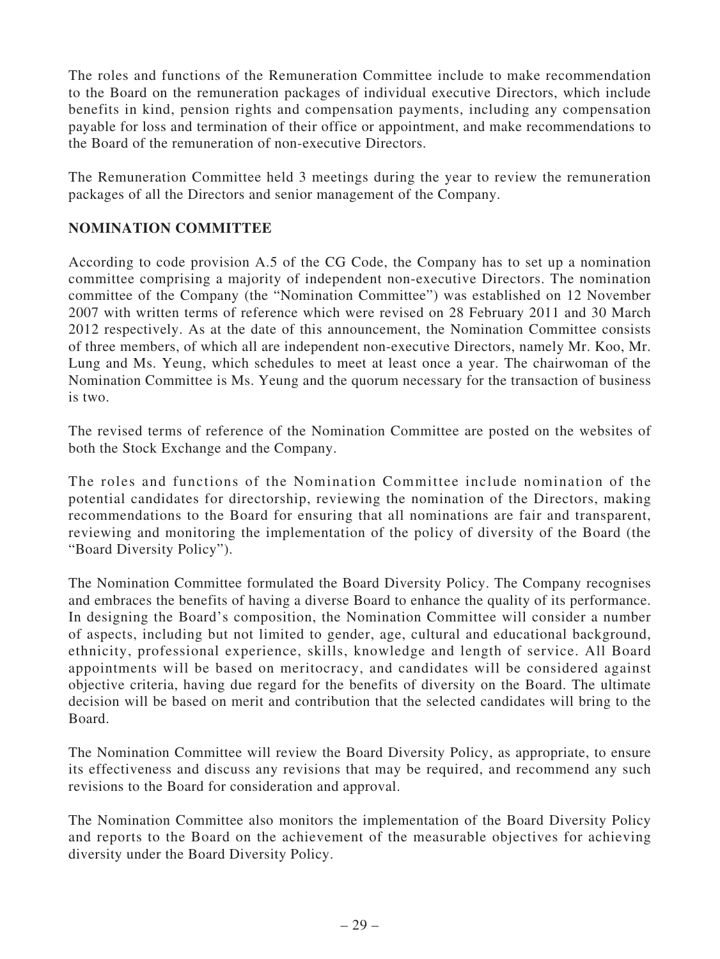The roles and functions of the Remuneration Committee include to make recommendation to the Board on the remuneration packages of individual executive Directors, which include benefits in kind, pension rights and compensation payments, including any compensation payable for loss and termination of their office or appointment, and make recommendations to the Board of the remuneration of non-executive Directors.

The Remuneration Committee held 3 meetings during the year to review the remuneration packages of all the Directors and senior management of the Company.

### **NOMINATION COMMITTEE**

According to code provision A.5 of the CG Code, the Company has to set up a nomination committee comprising a majority of independent non-executive Directors. The nomination committee of the Company (the "Nomination Committee") was established on 12 November 2007 with written terms of reference which were revised on 28 February 2011 and 30 March 2012 respectively. As at the date of this announcement, the Nomination Committee consists of three members, of which all are independent non-executive Directors, namely Mr. Koo, Mr. Lung and Ms. Yeung, which schedules to meet at least once a year. The chairwoman of the Nomination Committee is Ms. Yeung and the quorum necessary for the transaction of business is two.

The revised terms of reference of the Nomination Committee are posted on the websites of both the Stock Exchange and the Company.

The roles and functions of the Nomination Committee include nomination of the potential candidates for directorship, reviewing the nomination of the Directors, making recommendations to the Board for ensuring that all nominations are fair and transparent, reviewing and monitoring the implementation of the policy of diversity of the Board (the "Board Diversity Policy").

The Nomination Committee formulated the Board Diversity Policy. The Company recognises and embraces the benefits of having a diverse Board to enhance the quality of its performance. In designing the Board's composition, the Nomination Committee will consider a number of aspects, including but not limited to gender, age, cultural and educational background, ethnicity, professional experience, skills, knowledge and length of service. All Board appointments will be based on meritocracy, and candidates will be considered against objective criteria, having due regard for the benefits of diversity on the Board. The ultimate decision will be based on merit and contribution that the selected candidates will bring to the Board.

The Nomination Committee will review the Board Diversity Policy, as appropriate, to ensure its effectiveness and discuss any revisions that may be required, and recommend any such revisions to the Board for consideration and approval.

The Nomination Committee also monitors the implementation of the Board Diversity Policy and reports to the Board on the achievement of the measurable objectives for achieving diversity under the Board Diversity Policy.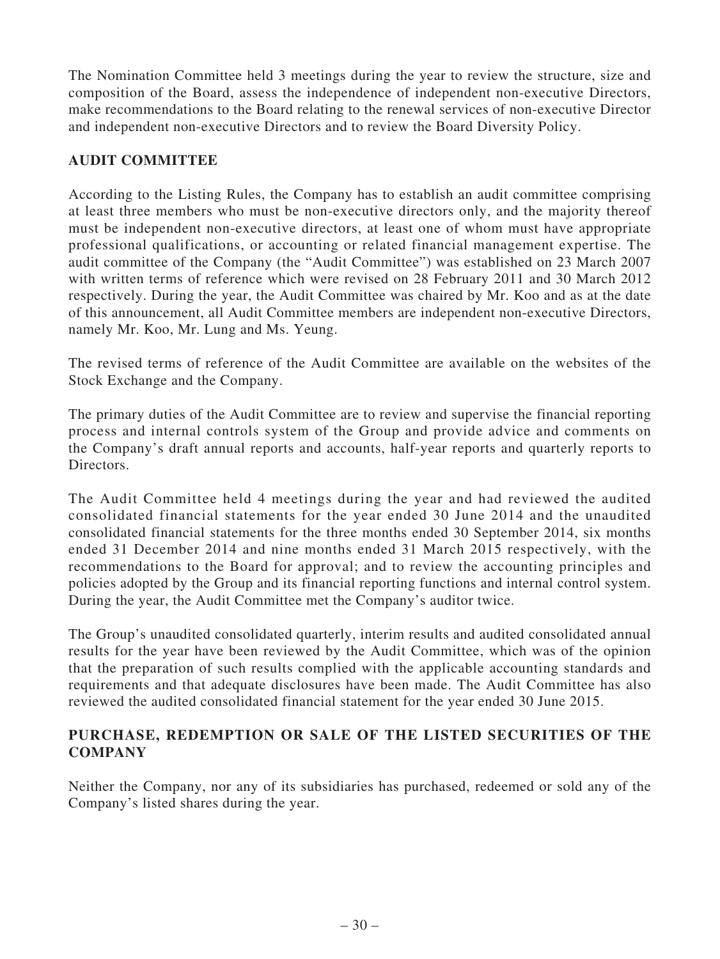The Nomination Committee held 3 meetings during the year to review the structure, size and composition of the Board, assess the independence of independent non-executive Directors, make recommendations to the Board relating to the renewal services of non-executive Director and independent non-executive Directors and to review the Board Diversity Policy.

### **AUDIT COMMITTEE**

According to the Listing Rules, the Company has to establish an audit committee comprising at least three members who must be non-executive directors only, and the majority thereof must be independent non-executive directors, at least one of whom must have appropriate professional qualifications, or accounting or related financial management expertise. The audit committee of the Company (the "Audit Committee") was established on 23 March 2007 with written terms of reference which were revised on 28 February 2011 and 30 March 2012 respectively. During the year, the Audit Committee was chaired by Mr. Koo and as at the date of this announcement, all Audit Committee members are independent non-executive Directors, namely Mr. Koo, Mr. Lung and Ms. Yeung.

The revised terms of reference of the Audit Committee are available on the websites of the Stock Exchange and the Company.

The primary duties of the Audit Committee are to review and supervise the financial reporting process and internal controls system of the Group and provide advice and comments on the Company's draft annual reports and accounts, half-year reports and quarterly reports to Directors.

The Audit Committee held 4 meetings during the year and had reviewed the audited consolidated financial statements for the year ended 30 June 2014 and the unaudited consolidated financial statements for the three months ended 30 September 2014, six months ended 31 December 2014 and nine months ended 31 March 2015 respectively, with the recommendations to the Board for approval; and to review the accounting principles and policies adopted by the Group and its financial reporting functions and internal control system. During the year, the Audit Committee met the Company's auditor twice.

The Group's unaudited consolidated quarterly, interim results and audited consolidated annual results for the year have been reviewed by the Audit Committee, which was of the opinion that the preparation of such results complied with the applicable accounting standards and requirements and that adequate disclosures have been made. The Audit Committee has also reviewed the audited consolidated financial statement for the year ended 30 June 2015.

### **PURCHASE, REDEMPTION OR SALE OF THE LISTED SECURITIES OF THE COMPANY**

Neither the Company, nor any of its subsidiaries has purchased, redeemed or sold any of the Company's listed shares during the year.